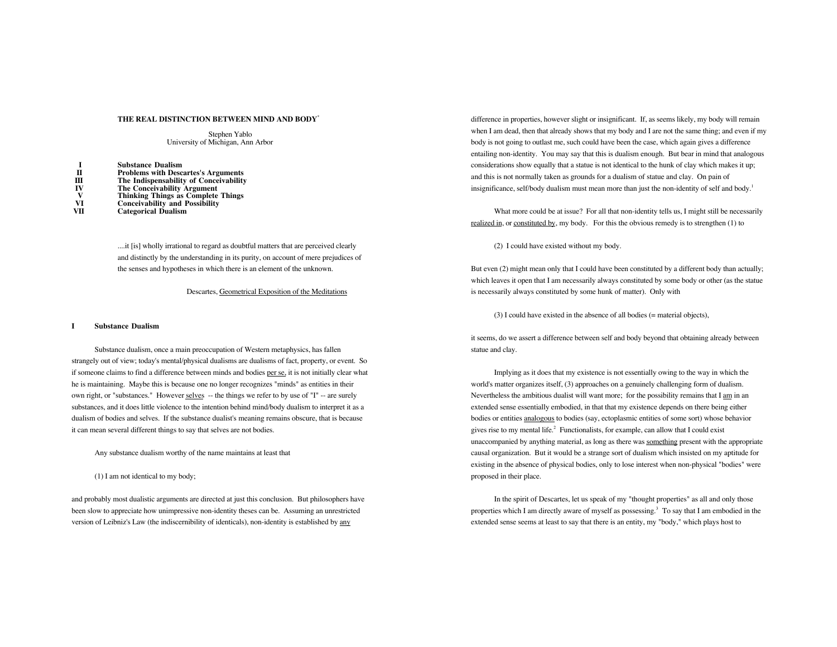#### **THE REAL DISTINCTION BETWEEN MIND AND BODY**\*

Stephen Yablo University of Michigan, Ann Arbor

|     | <b>Substance Dualism</b>                   |
|-----|--------------------------------------------|
| п   | <b>Problems with Descartes's Arguments</b> |
| Ш   | The Indispensability of Conceivability     |
| IV  | <b>The Conceivability Argument</b>         |
| v   | <b>Thinking Things as Complete Things</b>  |
| VI  | <b>Conceivability and Possibility</b>      |
| VII | <b>Categorical Dualism</b>                 |

....it [is] wholly irrational to regard as doubtful matters that are perceived clearly and distinctly by the understanding in its purity, on account of mere prejudices of the senses and hypotheses in which there is an element of the unknown.

Descartes, Geometrical Exposition of the Meditations

#### **I Substance Dualism**

Substance dualism, once a main preoccupation of Western metaphysics, has fallen strangely out of view; today's mental/physical dualisms are dualisms of fact, property, or event. So if someone claims to find a difference between minds and bodies per se, it is not initially clear what he is maintaining. Maybe this is because one no longer recognizes "minds" as entities in their own right, or "substances." However selves -- the things we refer to by use of "I" -- are surely substances, and it does little violence to the intention behind mind/body dualism to interpret it as a dualism of bodies and selves. If the substance dualist's meaning remains obscure, that is because it can mean several different things to say that selves are not bodies.

Any substance dualism worthy of the name maintains at least that

(1) I am not identical to my body;

and probably most dualistic arguments are directed at just this conclusion. But philosophers have been slow to appreciate how unimpressive non-identity theses can be. Assuming an unrestricted version of Leibniz's Law (the indiscernibility of identicals), non-identity is established by any

difference in properties, however slight or insignificant. If, as seems likely, my body will remain when I am dead, then that already shows that my body and I are not the same thing; and even if my body is not going to outlast me, such could have been the case, which again gives a difference entailing non-identity. You may say that this is dualism enough. But bear in mind that analogous considerations show equally that a statue is not identical to the hunk of clay which makes it up; and this is not normally taken as grounds for a dualism of statue and clay. On pain of insignificance, self/body dualism must mean more than just the non-identity of self and body.<sup>1</sup>

What more could be at issue? For all that non-identity tells us, I might still be necessarily realized in, or constituted by, my body. For this the obvious remedy is to strengthen (1) to

(2) I could have existed without my body.

But even (2) might mean only that I could have been constituted by a different body than actually; which leaves it open that I am necessarily always constituted by some body or other (as the statue is necessarily always constituted by some hunk of matter). Only with

(3) I could have existed in the absence of all bodies (= material objects),

it seems, do we assert a difference between self and body beyond that obtaining already between statue and clay.

Implying as it does that my existence is not essentially owing to the way in which the world's matter organizes itself, (3) approaches on a genuinely challenging form of dualism. Nevertheless the ambitious dualist will want more; for the possibility remains that I am in an extended sense essentially embodied, in that that my existence depends on there being either bodies or entities analogous to bodies (say, ectoplasmic entities of some sort) whose behavior gives rise to my mental life. $2$  Functionalists, for example, can allow that I could exist unaccompanied by anything material, as long as there was something present with the appropriate causal organization. But it would be a strange sort of dualism which insisted on my aptitude for existing in the absence of physical bodies, only to lose interest when non-physical "bodies" were proposed in their place.

In the spirit of Descartes, let us speak of my "thought properties" as all and only those properties which I am directly aware of myself as possessing.<sup>3</sup> To say that I am embodied in the extended sense seems at least to say that there is an entity, my "body," which plays host to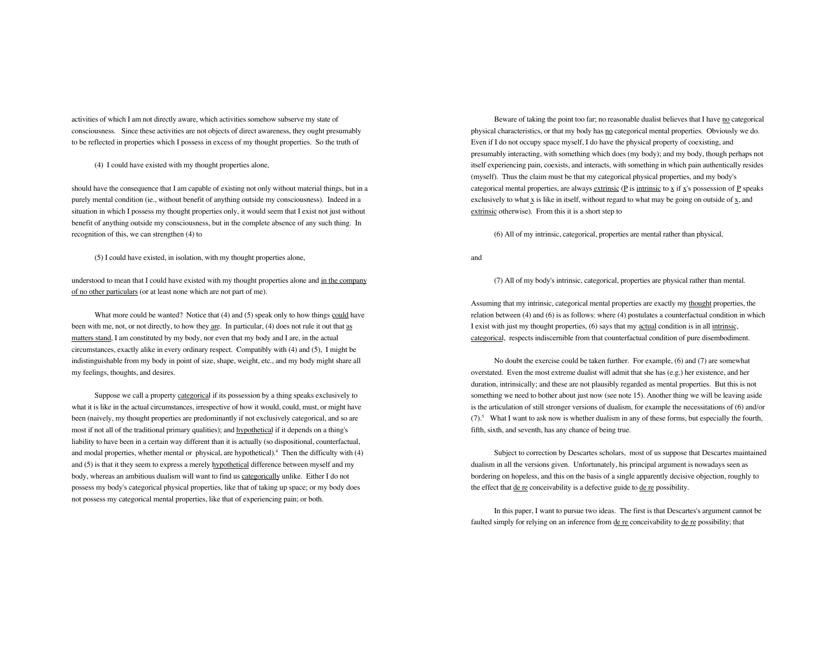activities of which I am not directly aware, which activities somehow subserve my state of consciousness. Since these activities are not objects of direct awareness, they ought presumably to be reflected in properties which I possess in excess of my thought properties. So the truth of

(4) I could have existed with my thought properties alone,

should have the consequence that I am capable of existing not only without material things, but in a purely mental condition (ie., without benefit of anything outside my consciousness). Indeed in a situation in which I possess my thought properties only, it would seem that I exist not just without benefit of anything outside my consciousness, but in the complete absence of any such thing. In recognition of this, we can strengthen (4) to

(5) I could have existed, in isolation, with my thought properties alone,

understood to mean that I could have existed with my thought properties alone and in the company of no other particulars (or at least none which are not part of me).

What more could be wanted? Notice that (4) and (5) speak only to how things could have been with me, not, or not directly, to how they are. In particular, (4) does not rule it out that as matters stand, I am constituted by my body, nor even that my body and I are, in the actual circumstances, exactly alike in every ordinary respect. Compatibly with (4) and (5), I might be indistinguishable from my body in point of size, shape, weight, etc., and my body might share all my feelings, thoughts, and desires.

Suppose we call a property categorical if its possession by a thing speaks exclusively to what it is like in the actual circumstances, irrespective of how it would, could, must, or might have been (naively, my thought properties are predominantly if not exclusively categorical, and so are most if not all of the traditional primary qualities); and hypothetical if it depends on a thing's liability to have been in a certain way different than it is actually (so dispositional, counterfactual, and modal properties, whether mental or physical, are hypothetical).<sup>4</sup> Then the difficulty with (4) and (5) is that it they seem to express a merely hypothetical difference between myself and my body, whereas an ambitious dualism will want to find us categorically unlike. Either I do not possess my body's categorical physical properties, like that of taking up space; or my body does not possess my categorical mental properties, like that of experiencing pain; or both.

Beware of taking the point too far; no reasonable dualist believes that I have no categorical physical characteristics, or that my body has no categorical mental properties. Obviously we do. Even if I do not occupy space myself, I do have the physical property of coexisting, and presumably interacting, with something which does (my body); and my body, though perhaps not itself experiencing pain, coexists, and interacts, with something in which pain authentically resides (myself). Thus the claim must be that my categorical physical properties, and my body's categorical mental properties, are always extrinsic (P is intrinsic to  $\bar{x}$  if  $\bar{x}$ 's possession of P speaks exclusively to what x is like in itself, without regard to what may be going on outside of x, and extrinsic otherwise). From this it is a short step to

(6) All of my intrinsic, categorical, properties are mental rather than physical,

and

(7) All of my body's intrinsic, categorical, properties are physical rather than mental.

Assuming that my intrinsic, categorical mental properties are exactly my thought properties, the relation between (4) and (6) is as follows: where (4) postulates a counterfactual condition in which I exist with just my thought properties, (6) says that my actual condition is in all intrinsic, categorical, respects indiscernible from that counterfactual condition of pure disembodiment.

No doubt the exercise could be taken further. For example, (6) and (7) are somewhat overstated. Even the most extreme dualist will admit that she has  $(e.g.)$  her existence, and her duration, intrinsically; and these are not plausibly regarded as mental properties. But this is not something we need to bother about just now (see note 15). Another thing we will be leaving aside is the articulation of still stronger versions of dualism, for example the necessitations of (6) and/or  $(7)$ .<sup>5</sup> What I want to ask now is whether dualism in any of these forms, but especially the fourth, fifth, sixth, and seventh, has any chance of being true.

Subject to correction by Descartes scholars, most of us suppose that Descartes maintained dualism in all the versions given. Unfortunately, his principal argument is nowadays seen as bordering on hopeless, and this on the basis of a single apparently decisive objection, roughly to the effect that de re conceivability is a defective guide to de re possibility.

In this paper, I want to pursue two ideas. The first is that Descartes's argument cannot be faulted simply for relying on an inference from de re conceivability to de re possibility; that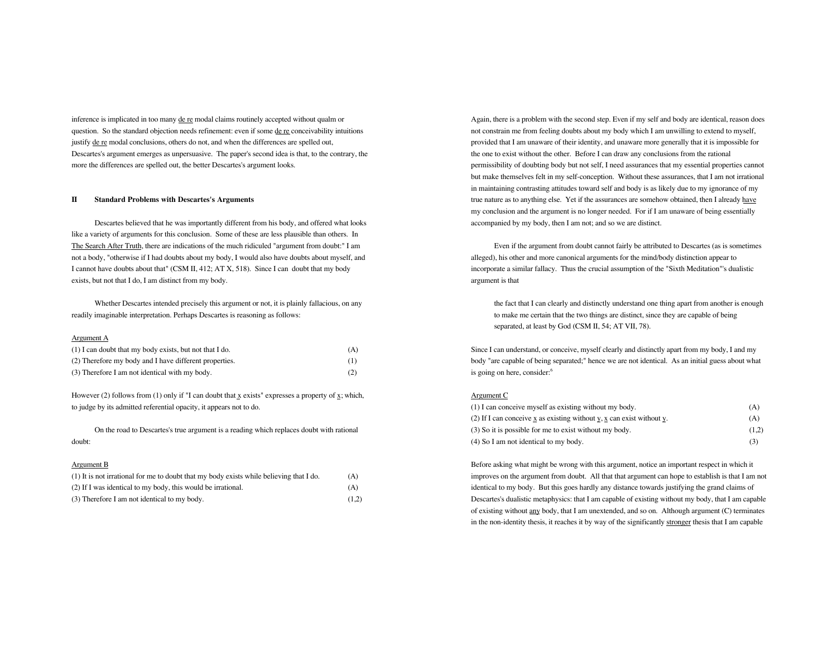inference is implicated in too many de re modal claims routinely accepted without qualm or question. So the standard objection needs refinement: even if some de re conceivability intuitions justify de re modal conclusions, others do not, and when the differences are spelled out, Descartes's argument emerges as unpersuasive. The paper's second idea is that, to the contrary, the more the differences are spelled out, the better Descartes's argument looks.

## **II Standard Problems with Descartes's Arguments**

Descartes believed that he was importantly different from his body, and offered what looks like a variety of arguments for this conclusion. Some of these are less plausible than others. In The Search After Truth, there are indications of the much ridiculed "argument from doubt:" I am not a body, "otherwise if I had doubts about my body, I would also have doubts about myself, and I cannot have doubts about that" (CSM II, 412; AT X, 518). Since I can doubt that my body exists, but not that I do, I am distinct from my body.

Whether Descartes intended precisely this argument or not, it is plainly fallacious, on any readily imaginable interpretation. Perhaps Descartes is reasoning as follows:

#### Argument A

| (1) I can doubt that my body exists, but not that I do. | (A) |
|---------------------------------------------------------|-----|
| (2) Therefore my body and I have different properties.  | (1) |
| (3) Therefore I am not identical with my body.          | (2) |

However (2) follows from (1) only if "I can doubt that x exists" expresses a property of x; which, to judge by its admitted referential opacity, it appears not to do.

On the road to Descartes's true argument is a reading which replaces doubt with rational doubt:

#### Argument B

| (1) It is not irrational for me to doubt that my body exists while believing that I do. | (A)   |
|-----------------------------------------------------------------------------------------|-------|
| (2) If I was identical to my body, this would be irrational.                            | (A)   |
| (3) Therefore I am not identical to my body.                                            | (1,2) |

Again, there is a problem with the second step. Even if my self and body are identical, reason does not constrain me from feeling doubts about my body which I am unwilling to extend to myself, provided that I am unaware of their identity, and unaware more generally that it is impossible for the one to exist without the other. Before I can draw any conclusions from the rational permissibility of doubting body but not self, I need assurances that my essential properties cannot but make themselves felt in my self-conception. Without these assurances, that I am not irrational in maintaining contrasting attitudes toward self and body is as likely due to my ignorance of my true nature as to anything else. Yet if the assurances are somehow obtained, then I already have my conclusion and the argument is no longer needed. For if I am unaware of being essentially accompanied by my body, then I am not; and so we are distinct.

Even if the argument from doubt cannot fairly be attributed to Descartes (as is sometimes alleged), his other and more canonical arguments for the mind/body distinction appear to incorporate a similar fallacy. Thus the crucial assumption of the "Sixth Meditation"'s dualistic argument is that

the fact that I can clearly and distinctly understand one thing apart from another is enough to make me certain that the two things are distinct, since they are capable of being separated, at least by God (CSM II, 54; AT VII, 78).

Since I can understand, or conceive, myself clearly and distinctly apart from my body, I and my body "are capable of being separated;" hence we are not identical. As an initial guess about what is going on here, consider:<sup>6</sup>

#### Argument C

| (1) I can conceive myself as existing without my body.                | (A)   |  |
|-----------------------------------------------------------------------|-------|--|
| (2) If I can conceive x as existing without y, x can exist without y. | (A)   |  |
| (3) So it is possible for me to exist without my body.                | (1,2) |  |
| (4) So I am not identical to my body.                                 | (3)   |  |

Before asking what might be wrong with this argument, notice an important respect in which it improves on the argument from doubt. All that that argument can hope to establish is that I am not identical to my body. But this goes hardly any distance towards justifying the grand claims of Descartes's dualistic metaphysics: that I am capable of existing without my body, that I am capable of existing without any body, that I am unextended, and so on. Although argument (C) terminates in the non-identity thesis, it reaches it by way of the significantly stronger thesis that I am capable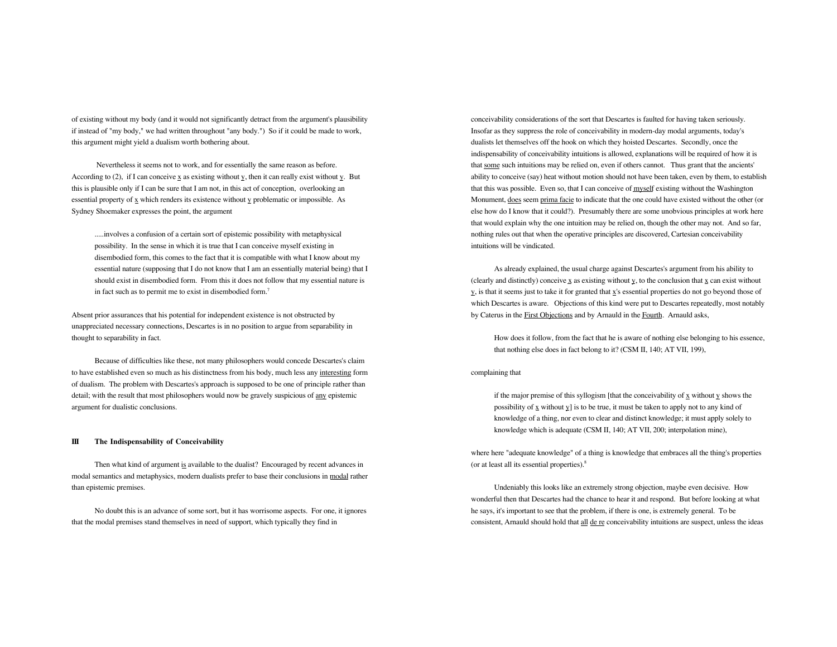of existing without my body (and it would not significantly detract from the argument's plausibility if instead of "my body," we had written throughout "any body.") So if it could be made to work, this argument might yield a dualism worth bothering about.

 Nevertheless it seems not to work, and for essentially the same reason as before. According to (2), if I can conceive x as existing without y, then it can really exist without y. But this is plausible only if I can be sure that I am not, in this act of conception, overlooking an essential property of x which renders its existence without y problematic or impossible. As Sydney Shoemaker expresses the point, the argument

.....involves a confusion of a certain sort of epistemic possibility with metaphysical possibility. In the sense in which it is true that I can conceive myself existing in disembodied form, this comes to the fact that it is compatible with what I know about my essential nature (supposing that I do not know that I am an essentially material being) that I should exist in disembodied form. From this it does not follow that my essential nature is in fact such as to permit me to exist in disembodied form.<sup>7</sup>

Absent prior assurances that his potential for independent existence is not obstructed by unappreciated necessary connections, Descartes is in no position to argue from separability in thought to separability in fact.

Because of difficulties like these, not many philosophers would concede Descartes's claim to have established even so much as his distinctness from his body, much less any interesting form of dualism. The problem with Descartes's approach is supposed to be one of principle rather than detail; with the result that most philosophers would now be gravely suspicious of any epistemic argument for dualistic conclusions.

#### **III The Indispensability of Conceivability**

Then what kind of argument is available to the dualist? Encouraged by recent advances in modal semantics and metaphysics, modern dualists prefer to base their conclusions in modal rather than epistemic premises.

No doubt this is an advance of some sort, but it has worrisome aspects. For one, it ignores that the modal premises stand themselves in need of support, which typically they find in

conceivability considerations of the sort that Descartes is faulted for having taken seriously. Insofar as they suppress the role of conceivability in modern-day modal arguments, today's dualists let themselves off the hook on which they hoisted Descartes. Secondly, once the indispensability of conceivability intuitions is allowed, explanations will be required of how it is that some such intuitions may be relied on, even if others cannot. Thus grant that the ancients' ability to conceive (say) heat without motion should not have been taken, even by them, to establish that this was possible. Even so, that I can conceive of myself existing without the Washington Monument, does seem prima facie to indicate that the one could have existed without the other (or else how do I know that it could?). Presumably there are some unobvious principles at work here that would explain why the one intuition may be relied on, though the other may not. And so far, nothing rules out that when the operative principles are discovered, Cartesian conceivability intuitions will be vindicated.

As already explained, the usual charge against Descartes's argument from his ability to (clearly and distinctly) conceive x as existing without y, to the conclusion that x can exist without y, is that it seems just to take it for granted that x's essential properties do not go beyond those of which Descartes is aware. Objections of this kind were put to Descartes repeatedly, most notably by Caterus in the First Objections and by Arnauld in the Fourth. Arnauld asks,

How does it follow, from the fact that he is aware of nothing else belonging to his essence, that nothing else does in fact belong to it? (CSM II, 140; AT VII, 199),

# complaining that

if the major premise of this syllogism [that the conceivability of x without y shows the possibility of  $\bar{x}$  without  $\bar{y}$  is to be true, it must be taken to apply not to any kind of knowledge of a thing, nor even to clear and distinct knowledge; it must apply solely to knowledge which is adequate (CSM II, 140; AT VII, 200; interpolation mine),

where here "adequate knowledge" of a thing is knowledge that embraces all the thing's properties (or at least all its essential properties).<sup>8</sup>

Undeniably this looks like an extremely strong objection, maybe even decisive. How wonderful then that Descartes had the chance to hear it and respond. But before looking at what he says, it's important to see that the problem, if there is one, is extremely general. To be consistent, Arnauld should hold that all de re conceivability intuitions are suspect, unless the ideas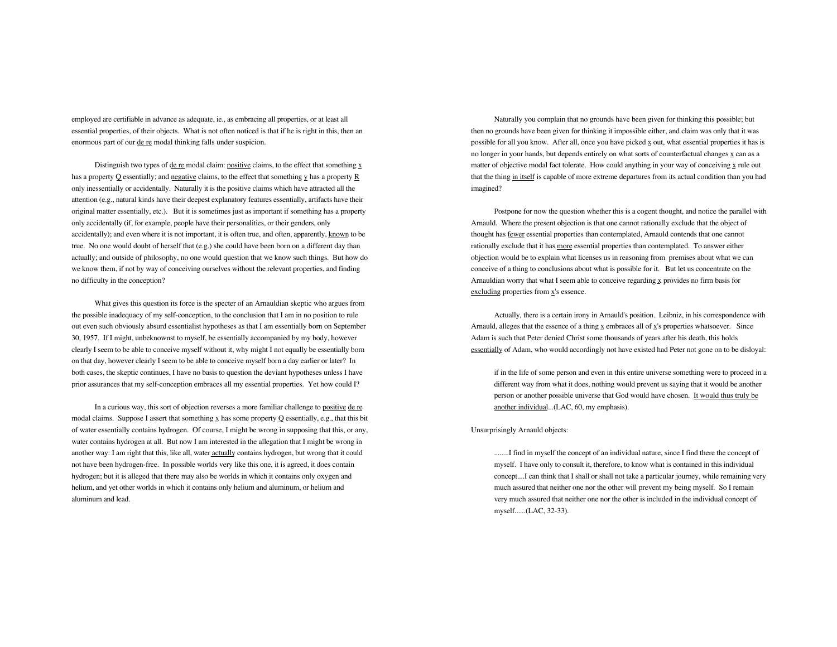employed are certifiable in advance as adequate, ie., as embracing all properties, or at least all essential properties, of their objects. What is not often noticed is that if he is right in this, then an enormous part of our de re modal thinking falls under suspicion.

Distinguish two types of de re modal claim: positive claims, to the effect that something x has a property Q essentially; and negative claims, to the effect that something y has a property R only inessentially or accidentally. Naturally it is the positive claims which have attracted all the attention (e.g., natural kinds have their deepest explanatory features essentially, artifacts have their original matter essentially, etc.). But it is sometimes just as important if something has a property only accidentally (if, for example, people have their personalities, or their genders, only accidentally); and even where it is not important, it is often true, and often, apparently, known to be true. No one would doubt of herself that (e.g.) she could have been born on a different day than actually; and outside of philosophy, no one would question that we know such things. But how do we know them, if not by way of conceiving ourselves without the relevant properties, and finding no difficulty in the conception?

What gives this question its force is the specter of an Arnauldian skeptic who argues from the possible inadequacy of my self-conception, to the conclusion that I am in no position to rule out even such obviously absurd essentialist hypotheses as that I am essentially born on September 30, 1957. If I might, unbeknownst to myself, be essentially accompanied by my body, however clearly I seem to be able to conceive myself without it, why might I not equally be essentially born on that day, however clearly I seem to be able to conceive myself born a day earlier or later? In both cases, the skeptic continues, I have no basis to question the deviant hypotheses unless I have prior assurances that my self-conception embraces all my essential properties. Yet how could I?

In a curious way, this sort of objection reverses a more familiar challenge to positive de re modal claims. Suppose I assert that something  $\bar{x}$  has some property  $\bar{Q}$  essentially, e.g., that this bit of water essentially contains hydrogen. Of course, I might be wrong in supposing that this, or any, water contains hydrogen at all. But now I am interested in the allegation that I might be wrong in another way: I am right that this, like all, water actually contains hydrogen, but wrong that it could not have been hydrogen-free. In possible worlds very like this one, it is agreed, it does contain hydrogen; but it is alleged that there may also be worlds in which it contains only oxygen and helium, and yet other worlds in which it contains only helium and aluminum, or helium and aluminum and lead.

Naturally you complain that no grounds have been given for thinking this possible; but then no grounds have been given for thinking it impossible either, and claim was only that it was possible for all you know. After all, once you have picked  $x$  out, what essential properties it has is no longer in your hands, but depends entirely on what sorts of counterfactual changes x can as a matter of objective modal fact tolerate. How could anything in your way of conceiving x rule out that the thing in itself is capable of more extreme departures from its actual condition than you had imagined?

Postpone for now the question whether this is a cogent thought, and notice the parallel with Arnauld. Where the present objection is that one cannot rationally exclude that the object of thought has fewer essential properties than contemplated, Arnauld contends that one cannot rationally exclude that it has more essential properties than contemplated. To answer either objection would be to explain what licenses us in reasoning from premises about what we can conceive of a thing to conclusions about what is possible for it. But let us concentrate on the Arnauldian worry that what I seem able to conceive regarding x provides no firm basis for excluding properties from x's essence.

Actually, there is a certain irony in Arnauld's position. Leibniz, in his correspondence with Arnauld, alleges that the essence of a thing x embraces all of x's properties whatsoever. Since Adam is such that Peter denied Christ some thousands of years after his death, this holds essentially of Adam, who would accordingly not have existed had Peter not gone on to be disloyal:

if in the life of some person and even in this entire universe something were to proceed in a different way from what it does, nothing would prevent us saying that it would be another person or another possible universe that God would have chosen. It would thus truly be another individual...(LAC, 60, my emphasis).

Unsurprisingly Arnauld objects:

........I find in myself the concept of an individual nature, since I find there the concept of myself. I have only to consult it, therefore, to know what is contained in this individual concept....I can think that I shall or shall not take a particular journey, while remaining very much assured that neither one nor the other will prevent my being myself. So I remain very much assured that neither one nor the other is included in the individual concept of myself......(LAC, 32-33).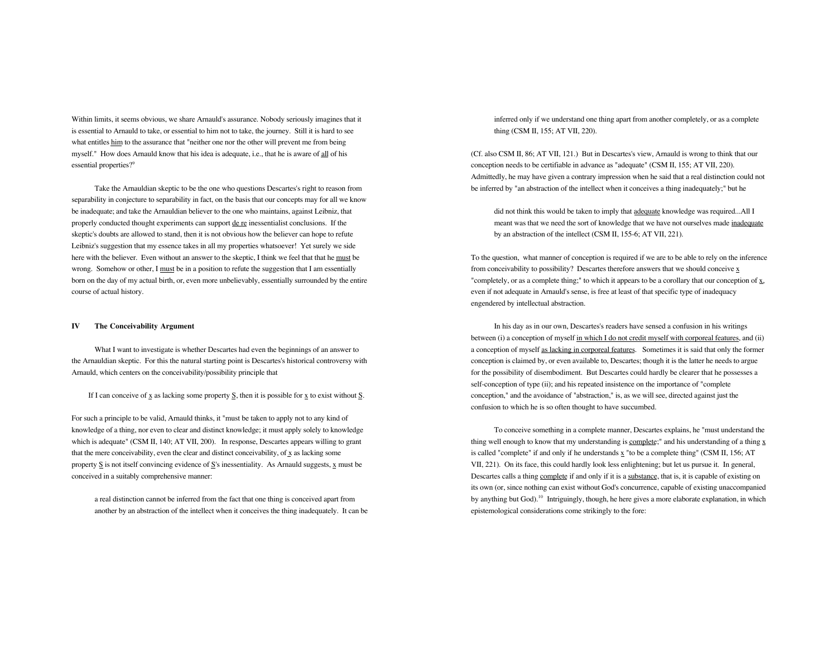Within limits, it seems obvious, we share Arnauld's assurance. Nobody seriously imagines that it is essential to Arnauld to take, or essential to him not to take, the journey. Still it is hard to see what entitles him to the assurance that "neither one nor the other will prevent me from being myself." How does Arnauld know that his idea is adequate, i.e., that he is aware of all of his essential properties?<sup>9</sup>

Take the Arnauldian skeptic to be the one who questions Descartes's right to reason from separability in conjecture to separability in fact, on the basis that our concepts may for all we know be inadequate; and take the Arnauldian believer to the one who maintains, against Leibniz, that properly conducted thought experiments can support de re inessentialist conclusions. If the skeptic's doubts are allowed to stand, then it is not obvious how the believer can hope to refute Leibniz's suggestion that my essence takes in all my properties whatsoever! Yet surely we side here with the believer. Even without an answer to the skeptic, I think we feel that that he must be wrong. Somehow or other, I must be in a position to refute the suggestion that I am essentially born on the day of my actual birth, or, even more unbelievably, essentially surrounded by the entire course of actual history.

#### **IV The Conceivability Argument**

What I want to investigate is whether Descartes had even the beginnings of an answer to the Arnauldian skeptic. For this the natural starting point is Descartes's historical controversy with Arnauld, which centers on the conceivability/possibility principle that

If I can conceive of x as lacking some property S, then it is possible for x to exist without S.

For such a principle to be valid, Arnauld thinks, it "must be taken to apply not to any kind of knowledge of a thing, nor even to clear and distinct knowledge; it must apply solely to knowledge which is adequate" (CSM II, 140; AT VII, 200). In response, Descartes appears willing to grant that the mere conceivability, even the clear and distinct conceivability, of x as lacking some property  $S$  is not itself convincing evidence of  $S$ 's inessentiality. As Arnauld suggests,  $\overline{X}$  must be conceived in a suitably comprehensive manner:

a real distinction cannot be inferred from the fact that one thing is conceived apart from another by an abstraction of the intellect when it conceives the thing inadequately. It can be inferred only if we understand one thing apart from another completely, or as a complete thing (CSM II, 155; AT VII, 220).

(Cf. also CSM II, 86; AT VII, 121.) But in Descartes's view, Arnauld is wrong to think that our conception needs to be certifiable in advance as "adequate" (CSM II, 155; AT VII, 220). Admittedly, he may have given a contrary impression when he said that a real distinction could not be inferred by "an abstraction of the intellect when it conceives a thing inadequately;" but he

did not think this would be taken to imply that adequate knowledge was required...All I meant was that we need the sort of knowledge that we have not ourselves made inadequate by an abstraction of the intellect (CSM II, 155-6; AT VII, 221).

To the question, what manner of conception is required if we are to be able to rely on the inference from conceivability to possibility? Descartes therefore answers that we should conceive  $\underline{x}$ "completely, or as a complete thing;" to which it appears to be a corollary that our conception of x, even if not adequate in Arnauld's sense, is free at least of that specific type of inadequacy engendered by intellectual abstraction.

In his day as in our own, Descartes's readers have sensed a confusion in his writings between (i) a conception of myself in which I do not credit myself with corporeal features, and (ii) a conception of myself as lacking in corporeal features. Sometimes it is said that only the former conception is claimed by, or even available to, Descartes; though it is the latter he needs to argue for the possibility of disembodiment. But Descartes could hardly be clearer that he possesses a self-conception of type (ii); and his repeated insistence on the importance of "complete conception," and the avoidance of "abstraction," is, as we will see, directed against just the confusion to which he is so often thought to have succumbed.

To conceive something in a complete manner, Descartes explains, he "must understand the thing well enough to know that my understanding is complete;" and his understanding of a thing x is called "complete" if and only if he understands x "to be a complete thing" (CSM II, 156; AT VII, 221). On its face, this could hardly look less enlightening; but let us pursue it. In general, Descartes calls a thing complete if and only if it is a substance, that is, it is capable of existing on its own (or, since nothing can exist without God's concurrence, capable of existing unaccompanied by anything but God).<sup>10</sup> Intriguingly, though, he here gives a more elaborate explanation, in which epistemological considerations come strikingly to the fore: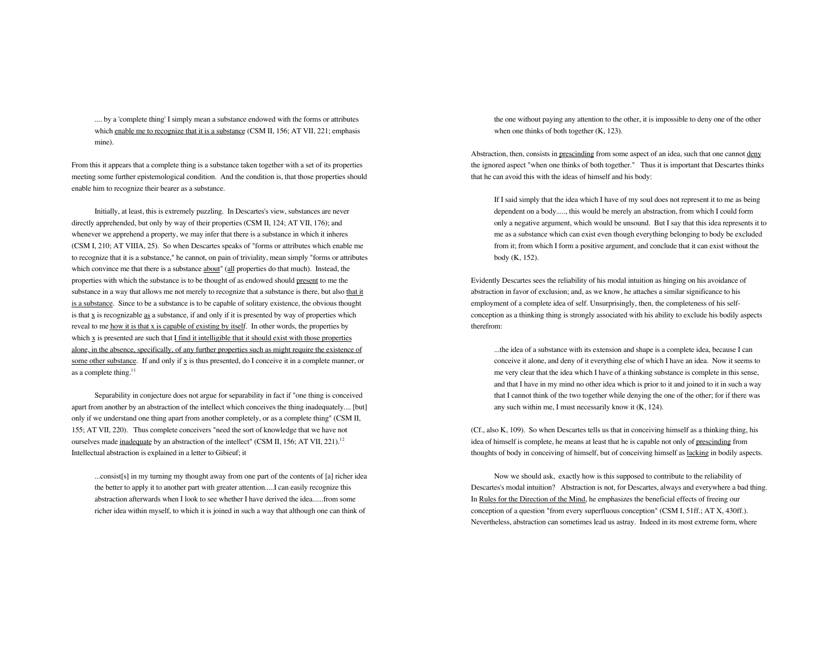.... by a 'complete thing' I simply mean a substance endowed with the forms or attributes which enable me to recognize that it is a substance (CSM II, 156; AT VII, 221; emphasis mine).

From this it appears that a complete thing is a substance taken together with a set of its properties meeting some further epistemological condition. And the condition is, that those properties should enable him to recognize their bearer as a substance.

Initially, at least, this is extremely puzzling. In Descartes's view, substances are never directly apprehended, but only by way of their properties (CSM II, 124; AT VII, 176); and whenever we apprehend a property, we may infer that there is a substance in which it inheres (CSM I, 210; AT VIIIA, 25). So when Descartes speaks of "forms or attributes which enable me to recognize that it is a substance," he cannot, on pain of triviality, mean simply "forms or attributes which convince me that there is a substance about" (all properties do that much). Instead, the properties with which the substance is to be thought of as endowed should present to me the substance in a way that allows me not merely to recognize that a substance is there, but also that it is a substance. Since to be a substance is to be capable of solitary existence, the obvious thought is that  $x$  is recognizable  $\overline{a}$  as a substance, if and only if it is presented by way of properties which reveal to me how it is that x is capable of existing by itself. In other words, the properties by which  $\bar{x}$  is presented are such that I find it intelligible that it should exist with those properties alone, in the absence, specifically, of any further properties such as might require the existence of some other substance. If and only if  $x$  is thus presented, do I conceive it in a complete manner, or as a complete thing.<sup>11</sup>

Separability in conjecture does not argue for separability in fact if "one thing is conceived apart from another by an abstraction of the intellect which conceives the thing inadequately.... [but] only if we understand one thing apart from another completely, or as a complete thing" (CSM II, 155; AT VII, 220). Thus complete conceivers "need the sort of knowledge that we have not ourselves made inadequate by an abstraction of the intellect" (CSM II, 156; AT VII, 221).<sup>12</sup> Intellectual abstraction is explained in a letter to Gibieuf; it

...consist[s] in my turning my thought away from one part of the contents of [a] richer idea the better to apply it to another part with greater attention.....I can easily recognize this abstraction afterwards when I look to see whether I have derived the idea......from some richer idea within myself, to which it is joined in such a way that although one can think of

the one without paying any attention to the other, it is impossible to deny one of the other when one thinks of both together (K, 123).

Abstraction, then, consists in prescinding from some aspect of an idea, such that one cannot deny the ignored aspect "when one thinks of both together." Thus it is important that Descartes thinks that he can avoid this with the ideas of himself and his body:

If I said simply that the idea which I have of my soul does not represent it to me as being dependent on a body....., this would be merely an abstraction, from which I could form only a negative argument, which would be unsound. But I say that this idea represents it to me as a substance which can exist even though everything belonging to body be excluded from it; from which I form a positive argument, and conclude that it can exist without the body (K, 152).

Evidently Descartes sees the reliability of his modal intuition as hinging on his avoidance of abstraction in favor of exclusion; and, as we know, he attaches a similar significance to his employment of a complete idea of self. Unsurprisingly, then, the completeness of his selfconception as a thinking thing is strongly associated with his ability to exclude his bodily aspects therefrom:

...the idea of a substance with its extension and shape is a complete idea, because I can conceive it alone, and deny of it everything else of which I have an idea. Now it seems to me very clear that the idea which I have of a thinking substance is complete in this sense, and that I have in my mind no other idea which is prior to it and joined to it in such a way that I cannot think of the two together while denying the one of the other; for if there was any such within me, I must necessarily know it (K, 124).

(Cf., also K, 109). So when Descartes tells us that in conceiving himself as a thinking thing, his idea of himself is complete, he means at least that he is capable not only of prescinding from thoughts of body in conceiving of himself, but of conceiving himself as lacking in bodily aspects.

Now we should ask, exactly how is this supposed to contribute to the reliability of Descartes's modal intuition? Abstraction is not, for Descartes, always and everywhere a bad thing. In Rules for the Direction of the Mind, he emphasizes the beneficial effects of freeing our conception of a question "from every superfluous conception" (CSM I, 51ff.; AT X, 430ff.). Nevertheless, abstraction can sometimes lead us astray. Indeed in its most extreme form, where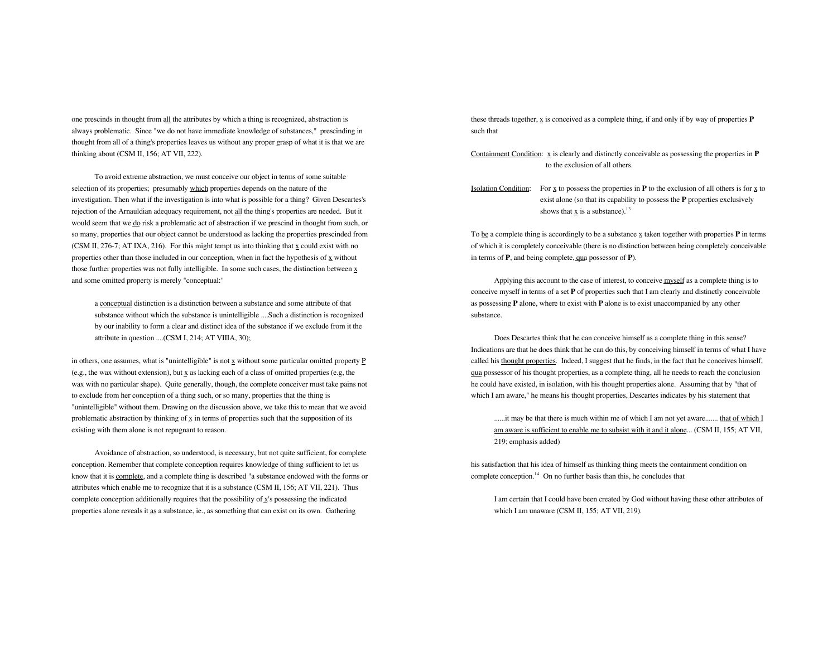one prescinds in thought from all the attributes by which a thing is recognized, abstraction is always problematic. Since "we do not have immediate knowledge of substances," prescinding in thought from all of a thing's properties leaves us without any proper grasp of what it is that we are thinking about (CSM II, 156; AT VII, 222).

To avoid extreme abstraction, we must conceive our object in terms of some suitable selection of its properties; presumably which properties depends on the nature of the investigation. Then what if the investigation is into what is possible for a thing? Given Descartes's rejection of the Arnauldian adequacy requirement, not all the thing's properties are needed. But it would seem that we do risk a problematic act of abstraction if we prescind in thought from such, or so many, properties that our object cannot be understood as lacking the properties prescinded from (CSM II, 276-7; AT IXA, 216). For this might tempt us into thinking that x could exist with no properties other than those included in our conception, when in fact the hypothesis of  $x$  without those further properties was not fully intelligible. In some such cases, the distinction between x and some omitted property is merely "conceptual:"

a conceptual distinction is a distinction between a substance and some attribute of that substance without which the substance is unintelligible ....Such a distinction is recognized by our inability to form a clear and distinct idea of the substance if we exclude from it the attribute in question ....(CSM I, 214; AT VIIIA, 30);

in others, one assumes, what is "unintelligible" is not  $\bar{x}$  without some particular omitted property  $\bar{P}$ (e.g., the wax without extension), but x as lacking each of a class of omitted properties (e.g, the wax with no particular shape). Quite generally, though, the complete conceiver must take pains not to exclude from her conception of a thing such, or so many, properties that the thing is "unintelligible" without them. Drawing on the discussion above, we take this to mean that we avoid problematic abstraction by thinking of  $\underline{x}$  in terms of properties such that the supposition of its existing with them alone is not repugnant to reason.

Avoidance of abstraction, so understood, is necessary, but not quite sufficient, for complete conception. Remember that complete conception requires knowledge of thing sufficient to let us know that it is complete, and a complete thing is described "a substance endowed with the forms or attributes which enable me to recognize that it is a substance (CSM II, 156; AT VII, 221). Thus complete conception additionally requires that the possibility of x's possessing the indicated properties alone reveals it as a substance, ie., as something that can exist on its own. Gathering

these threads together, x is conceived as a complete thing, if and only if by way of properties **P** such that

- Containment Condition: x is clearly and distinctly conceivable as possessing the properties in **P** to the exclusion of all others.
- Isolation Condition: For x to possess the properties in **P** to the exclusion of all others is for x to exist alone (so that its capability to possess the **P** properties exclusively shows that x is a substance). $13$

To be a complete thing is accordingly to be a substance  $\bf{x}$  taken together with properties  $\bf{P}$  in terms of which it is completely conceivable (there is no distinction between being completely conceivable in terms of **P**, and being complete, qua possessor of **P**).

 Applying this account to the case of interest, to conceive myself as a complete thing is to conceive myself in terms of a set **P** of properties such that I am clearly and distinctly conceivable as possessing **P** alone, where to exist with **P** alone is to exist unaccompanied by any other substance.

Does Descartes think that he can conceive himself as a complete thing in this sense? Indications are that he does think that he can do this, by conceiving himself in terms of what I have called his thought properties. Indeed, I suggest that he finds, in the fact that he conceives himself, qua possessor of his thought properties, as a complete thing, all he needs to reach the conclusion he could have existed, in isolation, with his thought properties alone. Assuming that by "that of which I am aware," he means his thought properties, Descartes indicates by his statement that

......it may be that there is much within me of which I am not yet aware....... that of which I am aware is sufficient to enable me to subsist with it and it alone... (CSM II, 155; AT VII, 219; emphasis added)

his satisfaction that his idea of himself as thinking thing meets the containment condition on complete conception.<sup>14</sup> On no further basis than this, he concludes that

I am certain that I could have been created by God without having these other attributes of which I am unaware (CSM II, 155; AT VII, 219).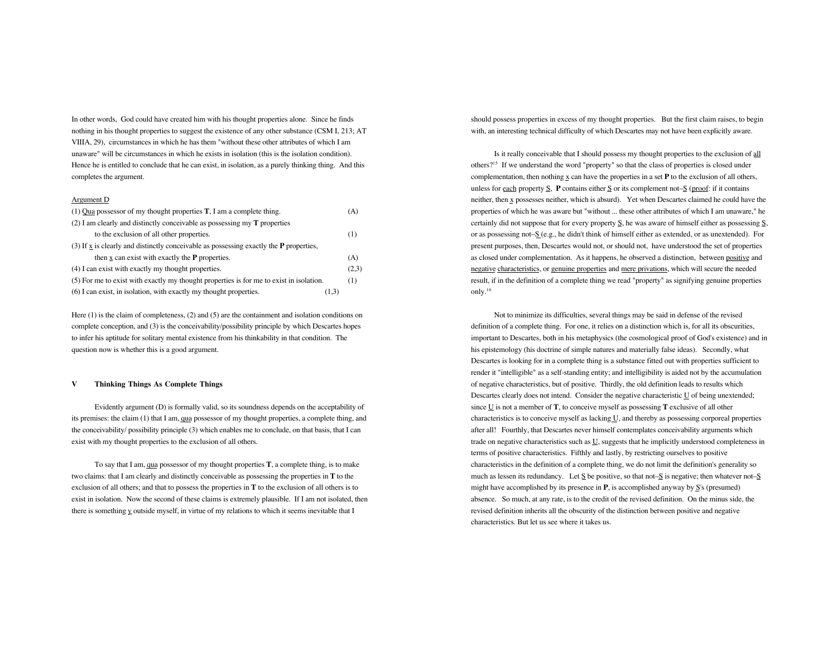In other words, God could have created him with his thought properties alone. Since he finds nothing in his thought properties to suggest the existence of any other substance (CSM I, 213; AT VIIIA, 29), circumstances in which he has them "without these other attributes of which I am unaware" will be circumstances in which he exists in isolation (this is the isolation condition). Hence he is entitled to conclude that he can exist, in isolation, as a purely thinking thing. And this completes the argument.

## Argument D

| $(1)$ Qua possessor of my thought properties <b>T</b> , I am a complete thing.                |       | (A)   |
|-----------------------------------------------------------------------------------------------|-------|-------|
| $(2)$ I am clearly and distinctly conceivable as possessing my <b>T</b> properties            |       |       |
| to the exclusion of all other properties.                                                     |       | (1)   |
| (3) If x is clearly and distinctly conceivable as possessing exactly the <b>P</b> properties, |       |       |
| then x can exist with exactly the $P$ properties.                                             |       | (A)   |
| (4) I can exist with exactly my thought properties.                                           |       | (2,3) |
| (5) For me to exist with exactly my thought properties is for me to exist in isolation.       |       | (1)   |
| (6) I can exist, in isolation, with exactly my thought properties.                            | (1.3) |       |

Here (1) is the claim of completeness, (2) and (5) are the containment and isolation conditions on complete conception, and (3) is the conceivability/possibility principle by which Descartes hopes to infer his aptitude for solitary mental existence from his thinkability in that condition. The question now is whether this is a good argument.

### **V Thinking Things As Complete Things**

Evidently argument (D) is formally valid, so its soundness depends on the acceptability of its premises: the claim (1) that I am, qua possessor of my thought properties, a complete thing, and the conceivability/ possibility principle (3) which enables me to conclude, on that basis, that I can exist with my thought properties to the exclusion of all others.

To say that I am, qua possessor of my thought properties **T**, a complete thing, is to make two claims: that I am clearly and distinctly conceivable as possessing the properties in **T** to the exclusion of all others; and that to possess the properties in **T** to the exclusion of all others is to exist in isolation. Now the second of these claims is extremely plausible. If I am not isolated, then there is something y outside myself, in virtue of my relations to which it seems inevitable that I

should possess properties in excess of my thought properties. But the first claim raises, to begin with, an interesting technical difficulty of which Descartes may not have been explicitly aware.

Is it really conceivable that I should possess my thought properties to the exclusion of all others?<sup>15</sup> If we understand the word "property" so that the class of properties is closed under complementation, then nothing x can have the properties in a set  $P$  to the exclusion of all others, unless for each property  $S$ , **P** contains either  $S$  or its complement not– $S$  (proof: if it contains neither, then x possesses neither, which is absurd). Yet when Descartes claimed he could have the properties of which he was aware but "without ... these other attributes of which I am unaware," he certainly did not suppose that for every property  $S$ , he was aware of himself either as possessing  $S$ , or as possessing not–S (e.g., he didn't think of himself either as extended, or as unextended). For present purposes, then, Descartes would not, or should not, have understood the set of properties as closed under complementation. As it happens, he observed a distinction, between positive and negative characteristics, or genuine properties and mere privations, which will secure the needed result, if in the definition of a complete thing we read "property" as signifying genuine properties only.16

Not to minimize its difficulties, several things may be said in defense of the revised definition of a complete thing. For one, it relies on a distinction which is, for all its obscurities, important to Descartes, both in his metaphysics (the cosmological proof of God's existence) and in his epistemology (his doctrine of simple natures and materially false ideas). Secondly, what Descartes is looking for in a complete thing is a substance fitted out with properties sufficient to render it "intelligible" as a self-standing entity; and intelligibility is aided not by the accumulation of negative characteristics, but of positive. Thirdly, the old definition leads to results which Descartes clearly does not intend. Consider the negative characteristic U of being unextended; since U is not a member of **T**, to conceive myself as possessing **T** exclusive of all other characteristics is to conceive myself as lacking U, and thereby as possessing corporeal properties after all! Fourthly, that Descartes never himself contemplates conceivability arguments which trade on negative characteristics such as U, suggests that he implicitly understood completeness in terms of positive characteristics. Fifthly and lastly, by restricting ourselves to positive characteristics in the definition of a complete thing, we do not limit the definition's generality so much as lessen its redundancy. Let  $S$  be positive, so that not– $S$  is negative; then whatever not– $S$ might have accomplished by its presence in  $P$ , is accomplished anyway by  $S$ 's (presumed) absence. So much, at any rate, is to the credit of the revised definition. On the minus side, the revised definition inherits all the obscurity of the distinction between positive and negative characteristics. But let us see where it takes us.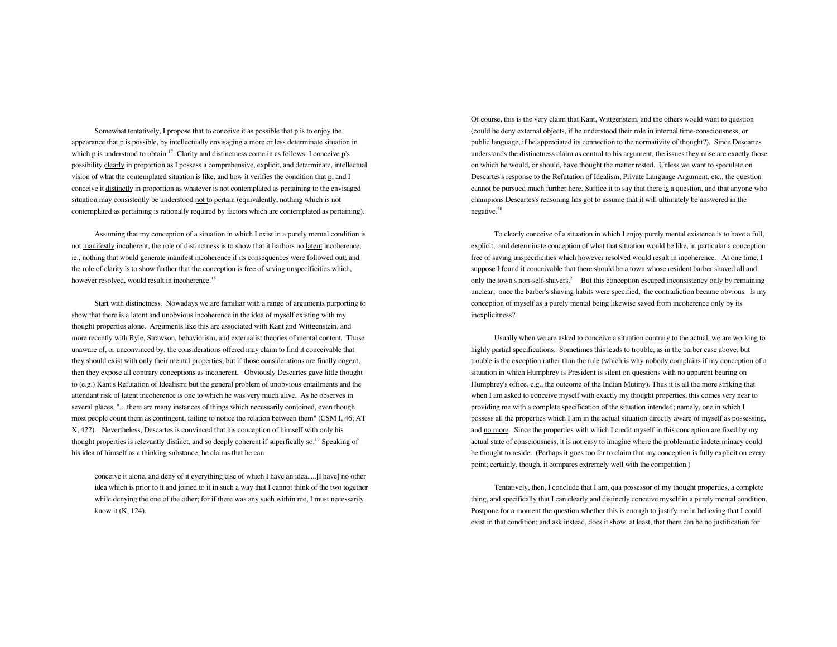Somewhat tentatively, I propose that to conceive it as possible that p is to enjoy the appearance that p is possible, by intellectually envisaging a more or less determinate situation in which  $p$  is understood to obtain.<sup>17</sup> Clarity and distinctness come in as follows: I conceive  $p$ 's possibility clearly in proportion as I possess a comprehensive, explicit, and determinate, intellectual vision of what the contemplated situation is like, and how it verifies the condition that p; and I conceive it distinctly in proportion as whatever is not contemplated as pertaining to the envisaged situation may consistently be understood not to pertain (equivalently, nothing which is not contemplated as pertaining is rationally required by factors which are contemplated as pertaining).

Assuming that my conception of a situation in which I exist in a purely mental condition is not manifestly incoherent, the role of distinctness is to show that it harbors no latent incoherence, ie., nothing that would generate manifest incoherence if its consequences were followed out; and the role of clarity is to show further that the conception is free of saving unspecificities which, however resolved, would result in incoherence.<sup>18</sup>

Start with distinctness. Nowadays we are familiar with a range of arguments purporting to show that there is a latent and unobvious incoherence in the idea of myself existing with my thought properties alone. Arguments like this are associated with Kant and Wittgenstein, and more recently with Ryle, Strawson, behaviorism, and externalist theories of mental content. Those unaware of, or unconvinced by, the considerations offered may claim to find it conceivable that they should exist with only their mental properties; but if those considerations are finally cogent, then they expose all contrary conceptions as incoherent. Obviously Descartes gave little thought to (e.g.) Kant's Refutation of Idealism; but the general problem of unobvious entailments and the attendant risk of latent incoherence is one to which he was very much alive. As he observes in several places, "....there are many instances of things which necessarily conjoined, even though most people count them as contingent, failing to notice the relation between them" (CSM I, 46; AT X, 422). Nevertheless, Descartes is convinced that his conception of himself with only his thought properties is relevantly distinct, and so deeply coherent if superfically so.<sup>19</sup> Speaking of his idea of himself as a thinking substance, he claims that he can

conceive it alone, and deny of it everything else of which I have an idea.....[I have] no other idea which is prior to it and joined to it in such a way that I cannot think of the two together while denying the one of the other; for if there was any such within me, I must necessarily know it (K, 124).

Of course, this is the very claim that Kant, Wittgenstein, and the others would want to question (could he deny external objects, if he understood their role in internal time-consciousness, or public language, if he appreciated its connection to the normativity of thought?). Since Descartes understands the distinctness claim as central to his argument, the issues they raise are exactly those on which he would, or should, have thought the matter rested. Unless we want to speculate on Descartes's response to the Refutation of Idealism, Private Language Argument, etc., the question cannot be pursued much further here. Suffice it to say that there is a question, and that anyone who champions Descartes's reasoning has got to assume that it will ultimately be answered in the negative. $20$ 

To clearly conceive of a situation in which I enjoy purely mental existence is to have a full, explicit, and determinate conception of what that situation would be like, in particular a conception free of saving unspecificities which however resolved would result in incoherence. At one time, I suppose I found it conceivable that there should be a town whose resident barber shaved all and only the town's non-self-shavers.<sup>21</sup> But this conception escaped inconsistency only by remaining unclear; once the barber's shaving habits were specified, the contradiction became obvious. Is my conception of myself as a purely mental being likewise saved from incoherence only by its inexplicitness?

Usually when we are asked to conceive a situation contrary to the actual, we are working to highly partial specifications. Sometimes this leads to trouble, as in the barber case above; but trouble is the exception rather than the rule (which is why nobody complains if my conception of a situation in which Humphrey is President is silent on questions with no apparent bearing on Humphrey's office, e.g., the outcome of the Indian Mutiny). Thus it is all the more striking that when I am asked to conceive myself with exactly my thought properties, this comes very near to providing me with a complete specification of the situation intended; namely, one in which I possess all the properties which I am in the actual situation directly aware of myself as possessing, and no more. Since the properties with which I credit myself in this conception are fixed by my actual state of consciousness, it is not easy to imagine where the problematic indeterminacy could be thought to reside. (Perhaps it goes too far to claim that my conception is fully explicit on every point; certainly, though, it compares extremely well with the competition.)

Tentatively, then, I conclude that I am, qua possessor of my thought properties, a complete thing, and specifically that I can clearly and distinctly conceive myself in a purely mental condition. Postpone for a moment the question whether this is enough to justify me in believing that I could exist in that condition; and ask instead, does it show, at least, that there can be no justification for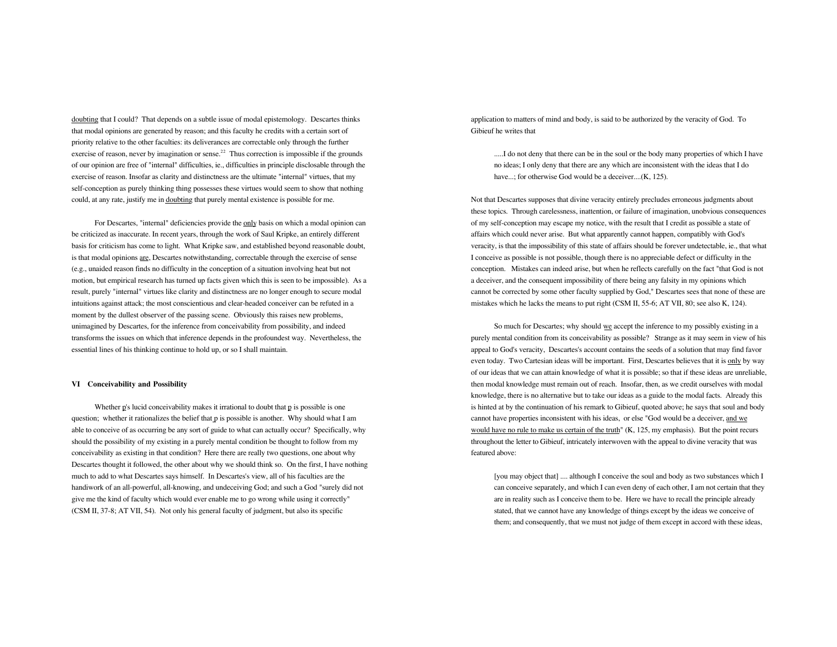doubting that I could? That depends on a subtle issue of modal epistemology. Descartes thinks that modal opinions are generated by reason; and this faculty he credits with a certain sort of priority relative to the other faculties: its deliverances are correctable only through the further exercise of reason, never by imagination or sense.<sup>22</sup> Thus correction is impossible if the grounds of our opinion are free of "internal" difficulties, ie., difficulties in principle disclosable through the exercise of reason. Insofar as clarity and distinctness are the ultimate "internal" virtues, that my self-conception as purely thinking thing possesses these virtues would seem to show that nothing could, at any rate, justify me in doubting that purely mental existence is possible for me.

For Descartes, "internal" deficiencies provide the only basis on which a modal opinion can be criticized as inaccurate. In recent years, through the work of Saul Kripke, an entirely different basis for criticism has come to light. What Kripke saw, and established beyond reasonable doubt, is that modal opinions are, Descartes notwithstanding, correctable through the exercise of sense (e.g., unaided reason finds no difficulty in the conception of a situation involving heat but not motion, but empirical research has turned up facts given which this is seen to be impossible). As a result, purely "internal" virtues like clarity and distinctness are no longer enough to secure modal intuitions against attack; the most conscientious and clear-headed conceiver can be refuted in a moment by the dullest observer of the passing scene. Obviously this raises new problems, unimagined by Descartes, for the inference from conceivability from possibility, and indeed transforms the issues on which that inference depends in the profoundest way. Nevertheless, the essential lines of his thinking continue to hold up, or so I shall maintain.

#### **VI Conceivability and Possibility**

Whether p's lucid conceivability makes it irrational to doubt that p is possible is one question; whether it rationalizes the belief that p is possible is another. Why should what I am able to conceive of as occurring be any sort of guide to what can actually occur? Specifically, why should the possibility of my existing in a purely mental condition be thought to follow from my conceivability as existing in that condition? Here there are really two questions, one about why Descartes thought it followed, the other about why we should think so. On the first, I have nothing much to add to what Descartes says himself. In Descartes's view, all of his faculties are the handiwork of an all-powerful, all-knowing, and undeceiving God; and such a God "surely did not give me the kind of faculty which would ever enable me to go wrong while using it correctly" (CSM II, 37-8; AT VII, 54). Not only his general faculty of judgment, but also its specific

application to matters of mind and body, is said to be authorized by the veracity of God. To Gibieuf he writes that

.....I do not deny that there can be in the soul or the body many properties of which I have no ideas; I only deny that there are any which are inconsistent with the ideas that I do have...; for otherwise God would be a deceiver....(K, 125).

Not that Descartes supposes that divine veracity entirely precludes erroneous judgments about these topics. Through carelessness, inattention, or failure of imagination, unobvious consequences of my self-conception may escape my notice, with the result that I credit as possible a state of affairs which could never arise. But what apparently cannot happen, compatibly with God's veracity, is that the impossibility of this state of affairs should be forever undetectable, ie., that what I conceive as possible is not possible, though there is no appreciable defect or difficulty in the conception. Mistakes can indeed arise, but when he reflects carefully on the fact "that God is not a deceiver, and the consequent impossibility of there being any falsity in my opinions which cannot be corrected by some other faculty supplied by God," Descartes sees that none of these are mistakes which he lacks the means to put right (CSM II, 55-6; AT VII, 80; see also K, 124).

So much for Descartes; why should we accept the inference to my possibly existing in a purely mental condition from its conceivability as possible? Strange as it may seem in view of his appeal to God's veracity, Descartes's account contains the seeds of a solution that may find favor even today. Two Cartesian ideas will be important. First, Descartes believes that it is only by way of our ideas that we can attain knowledge of what it is possible; so that if these ideas are unreliable, then modal knowledge must remain out of reach. Insofar, then, as we credit ourselves with modal knowledge, there is no alternative but to take our ideas as a guide to the modal facts. Already this is hinted at by the continuation of his remark to Gibieuf, quoted above; he says that soul and body cannot have properties inconsistent with his ideas, or else "God would be a deceiver, and we would have no rule to make us certain of the truth" (K, 125, my emphasis). But the point recurs throughout the letter to Gibieuf, intricately interwoven with the appeal to divine veracity that was featured above:

[you may object that] .... although I conceive the soul and body as two substances which I can conceive separately, and which I can even deny of each other, I am not certain that they are in reality such as I conceive them to be. Here we have to recall the principle already stated, that we cannot have any knowledge of things except by the ideas we conceive of them; and consequently, that we must not judge of them except in accord with these ideas,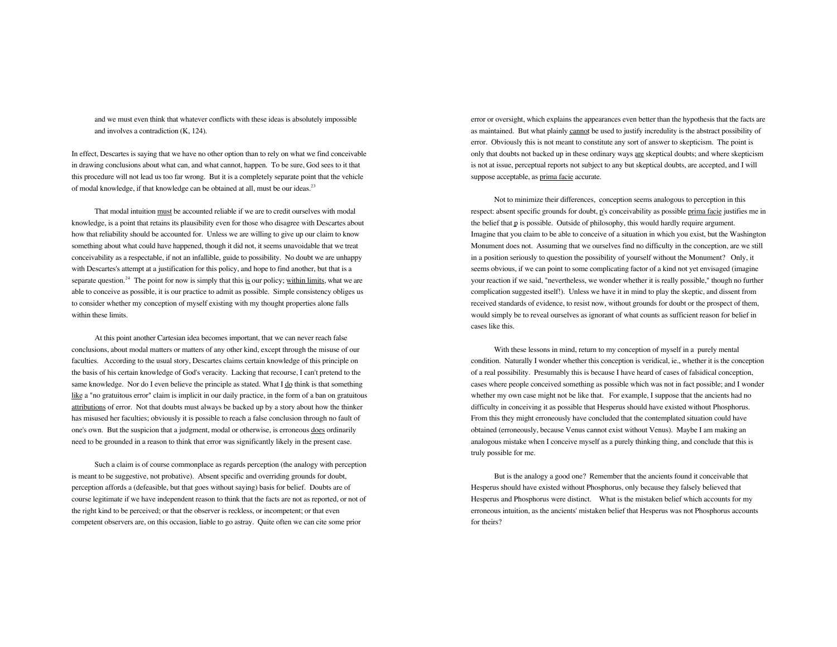and we must even think that whatever conflicts with these ideas is absolutely impossible and involves a contradiction (K, 124).

In effect, Descartes is saying that we have no other option than to rely on what we find conceivable in drawing conclusions about what can, and what cannot, happen. To be sure, God sees to it that this procedure will not lead us too far wrong. But it is a completely separate point that the vehicle of modal knowledge, if that knowledge can be obtained at all, must be our ideas.23

That modal intuition must be accounted reliable if we are to credit ourselves with modal knowledge, is a point that retains its plausibility even for those who disagree with Descartes about how that reliability should be accounted for. Unless we are willing to give up our claim to know something about what could have happened, though it did not, it seems unavoidable that we treat conceivability as a respectable, if not an infallible, guide to possibility. No doubt we are unhappy with Descartes's attempt at a justification for this policy, and hope to find another, but that is a separate question.<sup>24</sup> The point for now is simply that this is our policy; within limits, what we are able to conceive as possible, it is our practice to admit as possible. Simple consistency obliges us to consider whether my conception of myself existing with my thought properties alone falls within these limits.

At this point another Cartesian idea becomes important, that we can never reach false conclusions, about modal matters or matters of any other kind, except through the misuse of our faculties. According to the usual story, Descartes claims certain knowledge of this principle on the basis of his certain knowledge of God's veracity. Lacking that recourse, I can't pretend to the same knowledge. Nor do I even believe the principle as stated. What I do think is that something like a "no gratuitous error" claim is implicit in our daily practice, in the form of a ban on gratuitous attributions of error. Not that doubts must always be backed up by a story about how the thinker has misused her faculties; obviously it is possible to reach a false conclusion through no fault of one's own. But the suspicion that a judgment, modal or otherwise, is erroneous does ordinarily need to be grounded in a reason to think that error was significantly likely in the present case.

Such a claim is of course commonplace as regards perception (the analogy with perception is meant to be suggestive, not probative). Absent specific and overriding grounds for doubt, perception affords a (defeasible, but that goes without saying) basis for belief. Doubts are of course legitimate if we have independent reason to think that the facts are not as reported, or not of the right kind to be perceived; or that the observer is reckless, or incompetent; or that even competent observers are, on this occasion, liable to go astray. Quite often we can cite some prior

error or oversight, which explains the appearances even better than the hypothesis that the facts are as maintained. But what plainly cannot be used to justify incredulity is the abstract possibility of error. Obviously this is not meant to constitute any sort of answer to skepticism. The point is only that doubts not backed up in these ordinary ways are skeptical doubts; and where skepticism is not at issue, perceptual reports not subject to any but skeptical doubts, are accepted, and I will suppose acceptable, as prima facie accurate.

Not to minimize their differences, conception seems analogous to perception in this respect: absent specific grounds for doubt, p's conceivability as possible prima facie justifies me in the belief that p is possible. Outside of philosophy, this would hardly require argument. Imagine that you claim to be able to conceive of a situation in which you exist, but the Washington Monument does not. Assuming that we ourselves find no difficulty in the conception, are we still in a position seriously to question the possibility of yourself without the Monument? Only, it seems obvious, if we can point to some complicating factor of a kind not yet envisaged (imagine your reaction if we said, "nevertheless, we wonder whether it is really possible," though no further complication suggested itself!). Unless we have it in mind to play the skeptic, and dissent from received standards of evidence, to resist now, without grounds for doubt or the prospect of them, would simply be to reveal ourselves as ignorant of what counts as sufficient reason for belief in cases like this.

With these lessons in mind, return to my conception of myself in a purely mental condition. Naturally I wonder whether this conception is veridical, ie., whether it is the conception of a real possibility. Presumably this is because I have heard of cases of falsidical conception, cases where people conceived something as possible which was not in fact possible; and I wonder whether my own case might not be like that. For example, I suppose that the ancients had no difficulty in conceiving it as possible that Hesperus should have existed without Phosphorus. From this they might erroneously have concluded that the contemplated situation could have obtained (erroneously, because Venus cannot exist without Venus). Maybe I am making an analogous mistake when I conceive myself as a purely thinking thing, and conclude that this is truly possible for me.

But is the analogy a good one? Remember that the ancients found it conceivable that Hesperus should have existed without Phosphorus, only because they falsely believed that Hesperus and Phosphorus were distinct. What is the mistaken belief which accounts for my erroneous intuition, as the ancients' mistaken belief that Hesperus was not Phosphorus accounts for theirs?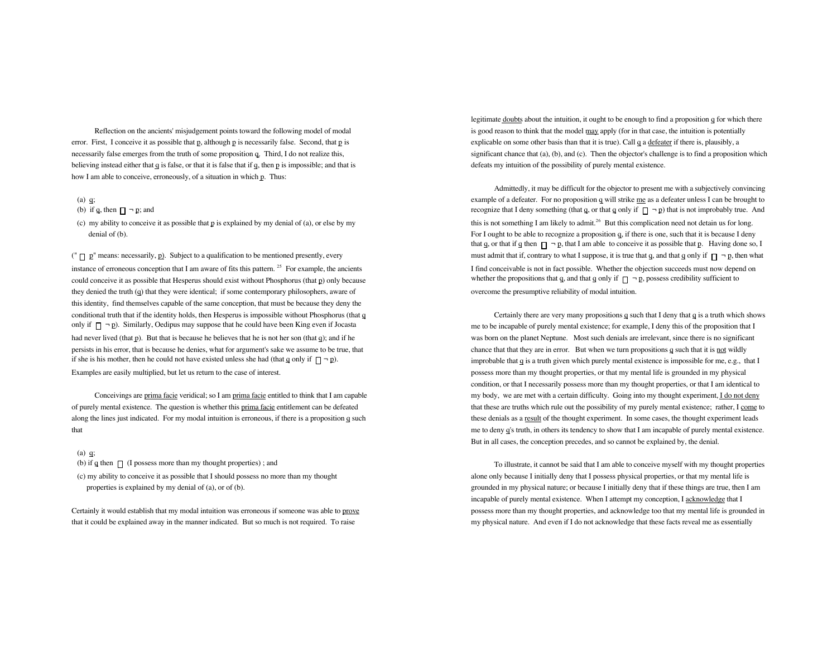Reflection on the ancients' misjudgement points toward the following model of modal error. First, I conceive it as possible that p, although p is necessarily false. Second, that p is necessarily false emerges from the truth of some proposition q. Third, I do not realize this, believing instead either that q is false, or that it is false that if q, then p is impossible; and that is how I am able to conceive, erroneously, of a situation in which p. Thus:

#### (a) q;

- (b) if q, then  $\Box \neg p$ ; and
- (c) my ability to conceive it as possible that p is explained by my denial of (a), or else by my denial of (b).

("  $\Box$   $p$ " means: necessarily,  $p$ ). Subject to a qualification to be mentioned presently, every instance of erroneous conception that I am aware of fits this pattern.<sup>25</sup> For example, the ancients could conceive it as possible that Hesperus should exist without Phosphorus (that p) only because they denied the truth (q) that they were identical; if some contemporary philosophers, aware of this identity, find themselves capable of the same conception, that must be because they deny the conditional truth that if the identity holds, then Hesperus is impossible without Phosphorus (that q only if  $\Box \neg p$ ). Similarly, Oedipus may suppose that he could have been King even if Jocasta had never lived (that p). But that is because he believes that he is not her son (that  $q$ ); and if he persists in his error, that is because he denies, what for argument's sake we assume to be true, that if she is his mother, then he could not have existed unless she had (that g only if  $\Box \neg p$ ). Examples are easily multiplied, but let us return to the case of interest.

Conceivings are prima facie veridical; so I am prima facie entitled to think that I am capable of purely mental existence. The question is whether this prima facie entitlement can be defeated along the lines just indicated. For my modal intuition is erroneous, if there is a proposition q such that

### (a) q;

- (b) if q then  $\Box$  (I possess more than my thought properties); and
- (c) my ability to conceive it as possible that I should possess no more than my thought properties is explained by my denial of (a), or of (b).

Certainly it would establish that my modal intuition was erroneous if someone was able to prove that it could be explained away in the manner indicated. But so much is not required. To raise

legitimate doubts about the intuition, it ought to be enough to find a proposition q for which there is good reason to think that the model may apply (for in that case, the intuition is potentially explicable on some other basis than that it is true). Call q a defeater if there is, plausibly, a significant chance that  $(a)$ ,  $(b)$ , and  $(c)$ . Then the objector's challenge is to find a proposition which defeats my intuition of the possibility of purely mental existence.

Admittedly, it may be difficult for the objector to present me with a subjectively convincing example of a defeater. For no proposition q will strike me as a defeater unless I can be brought to recognize that I deny something (that q, or that q only if  $\Box \neg p$ ) that is not improbably true. And this is not something I am likely to admit.<sup>26</sup> But this complication need not detain us for long. For I ought to be able to recognize a proposition q, if there is one, such that it is because I deny that q, or that if q then  $\Box \neg p$ , that I am able to conceive it as possible that p. Having done so, I must admit that if, contrary to what I suppose, it is true that q, and that q only if  $\Box \neg p$ , then what I find conceivable is not in fact possible. Whether the objection succeeds must now depend on whether the propositions that q, and that q only if  $\Box \neg p$ , possess credibility sufficient to overcome the presumptive reliability of modal intuition.

Certainly there are very many propositions  $g$  such that I deny that  $g$  is a truth which shows me to be incapable of purely mental existence; for example, I deny this of the proposition that I was born on the planet Neptune. Most such denials are irrelevant, since there is no significant chance that that they are in error. But when we turn propositions q such that it is not wildly improbable that q is a truth given which purely mental existence is impossible for me, e.g., that I possess more than my thought properties, or that my mental life is grounded in my physical condition, or that I necessarily possess more than my thought properties, or that I am identical to my body, we are met with a certain difficulty. Going into my thought experiment, I do not deny that these are truths which rule out the possibility of my purely mental existence; rather, I come to these denials as a result of the thought experiment. In some cases, the thought experiment leads me to deny q's truth, in others its tendency to show that I am incapable of purely mental existence. But in all cases, the conception precedes, and so cannot be explained by, the denial.

To illustrate, it cannot be said that I am able to conceive myself with my thought properties alone only because I initially deny that I possess physical properties, or that my mental life is grounded in my physical nature; or because I initially deny that if these things are true, then I am incapable of purely mental existence. When I attempt my conception, I acknowledge that I possess more than my thought properties, and acknowledge too that my mental life is grounded in my physical nature. And even if I do not acknowledge that these facts reveal me as essentially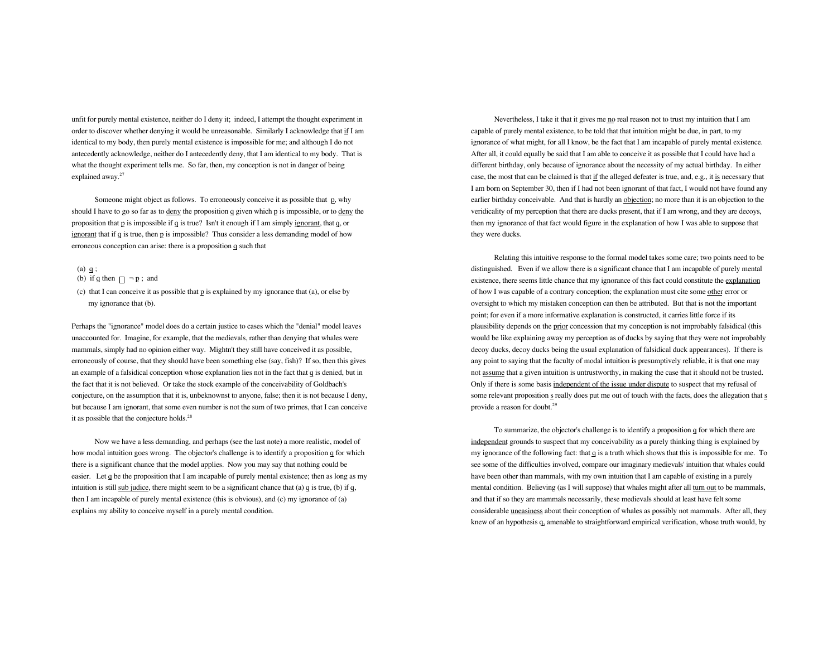unfit for purely mental existence, neither do I deny it; indeed, I attempt the thought experiment in order to discover whether denying it would be unreasonable. Similarly I acknowledge that if I am identical to my body, then purely mental existence is impossible for me; and although I do not antecedently acknowledge, neither do I antecedently deny, that I am identical to my body. That is what the thought experiment tells me. So far, then, my conception is not in danger of being explained away.<sup>27</sup>

Someone might object as follows. To erroneously conceive it as possible that p, why should I have to go so far as to deny the proposition q given which p is impossible, or to deny the proposition that p is impossible if q is true? Isn't it enough if I am simply ignorant, that q, or ignorant that if q is true, then p is impossible? Thus consider a less demanding model of how erroneous conception can arise: there is a proposition q such that

# $(a)$   $q$ ;

# (b) if  $q$  then  $\Box \neg p$ ; and

 (c) that I can conceive it as possible that p is explained by my ignorance that (a), or else by my ignorance that (b).

Perhaps the "ignorance" model does do a certain justice to cases which the "denial" model leaves unaccounted for. Imagine, for example, that the medievals, rather than denying that whales were mammals, simply had no opinion either way. Mightn't they still have conceived it as possible, erroneously of course, that they should have been something else (say, fish)? If so, then this gives an example of a falsidical conception whose explanation lies not in the fact that q is denied, but in the fact that it is not believed. Or take the stock example of the conceivability of Goldbach's conjecture, on the assumption that it is, unbeknownst to anyone, false; then it is not because I deny, but because I am ignorant, that some even number is not the sum of two primes, that I can conceive it as possible that the conjecture holds.<sup>28</sup>

Now we have a less demanding, and perhaps (see the last note) a more realistic, model of how modal intuition goes wrong. The objector's challenge is to identify a proposition q for which there is a significant chance that the model applies. Now you may say that nothing could be easier. Let q be the proposition that I am incapable of purely mental existence; then as long as my intuition is still sub judice, there might seem to be a significant chance that (a)  $q$  is true, (b) if  $q$ , then I am incapable of purely mental existence (this is obvious), and (c) my ignorance of (a) explains my ability to conceive myself in a purely mental condition.

Nevertheless, I take it that it gives me no real reason not to trust my intuition that I am capable of purely mental existence, to be told that that intuition might be due, in part, to my ignorance of what might, for all I know, be the fact that I am incapable of purely mental existence. After all, it could equally be said that I am able to conceive it as possible that I could have had a different birthday, only because of ignorance about the necessity of my actual birthday. In either case, the most that can be claimed is that if the alleged defeater is true, and, e.g., it is necessary that I am born on September 30, then if I had not been ignorant of that fact, I would not have found any earlier birthday conceivable. And that is hardly an objection; no more than it is an objection to the veridicality of my perception that there are ducks present, that if I am wrong, and they are decoys, then my ignorance of that fact would figure in the explanation of how I was able to suppose that they were ducks.

Relating this intuitive response to the formal model takes some care; two points need to be distinguished. Even if we allow there is a significant chance that I am incapable of purely mental existence, there seems little chance that my ignorance of this fact could constitute the explanation of how I was capable of a contrary conception; the explanation must cite some other error or oversight to which my mistaken conception can then be attributed. But that is not the important point; for even if a more informative explanation is constructed, it carries little force if its plausibility depends on the prior concession that my conception is not improbably falsidical (this would be like explaining away my perception as of ducks by saying that they were not improbably decoy ducks, decoy ducks being the usual explanation of falsidical duck appearances). If there is any point to saying that the faculty of modal intuition is presumptively reliable, it is that one may not assume that a given intuition is untrustworthy, in making the case that it should not be trusted. Only if there is some basis independent of the issue under dispute to suspect that my refusal of some relevant proposition s really does put me out of touch with the facts, does the allegation that s provide a reason for doubt.<sup>29</sup>

To summarize, the objector's challenge is to identify a proposition q for which there are independent grounds to suspect that my conceivability as a purely thinking thing is explained by my ignorance of the following fact: that g is a truth which shows that this is impossible for me. To see some of the difficulties involved, compare our imaginary medievals' intuition that whales could have been other than mammals, with my own intuition that I am capable of existing in a purely mental condition. Believing (as I will suppose) that whales might after all turn out to be mammals, and that if so they are mammals necessarily, these medievals should at least have felt some considerable uneasiness about their conception of whales as possibly not mammals. After all, they knew of an hypothesis q, amenable to straightforward empirical verification, whose truth would, by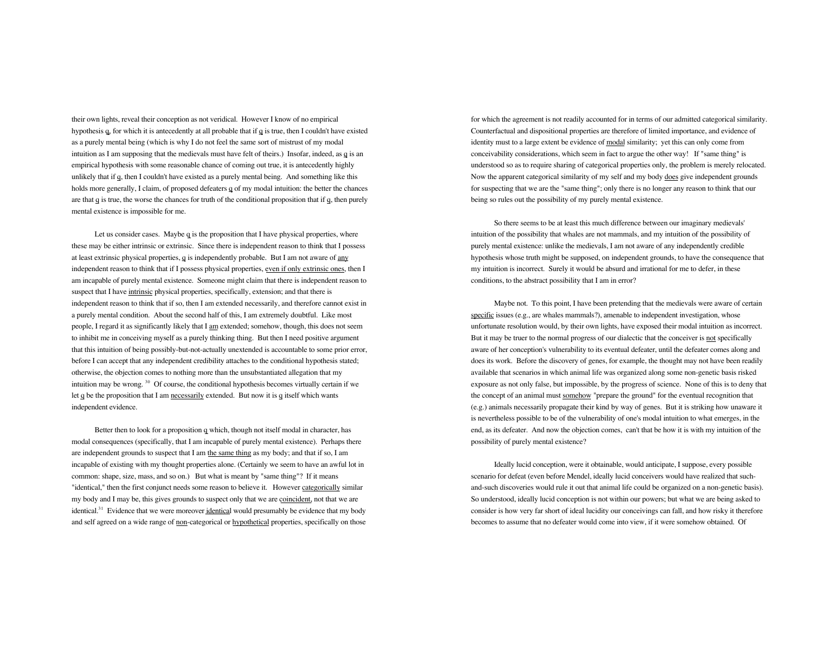their own lights, reveal their conception as not veridical. However I know of no empirical hypothesis q, for which it is antecedently at all probable that if q is true, then I couldn't have existed as a purely mental being (which is why I do not feel the same sort of mistrust of my modal intuition as I am supposing that the medievals must have felt of theirs.) Insofar, indeed, as q is an empirical hypothesis with some reasonable chance of coming out true, it is antecedently highly unlikely that if q, then I couldn't have existed as a purely mental being. And something like this holds more generally, I claim, of proposed defeaters q of my modal intuition: the better the chances are that q is true, the worse the chances for truth of the conditional proposition that if q, then purely mental existence is impossible for me.

Let us consider cases. Maybe q is the proposition that I have physical properties, where these may be either intrinsic or extrinsic. Since there is independent reason to think that I possess at least extrinsic physical properties, q is independently probable. But I am not aware of any independent reason to think that if I possess physical properties, even if only extrinsic ones, then I am incapable of purely mental existence. Someone might claim that there is independent reason to suspect that I have intrinsic physical properties, specifically, extension; and that there is independent reason to think that if so, then I am extended necessarily, and therefore cannot exist in a purely mental condition. About the second half of this, I am extremely doubtful. Like most people, I regard it as significantly likely that I am extended; somehow, though, this does not seem to inhibit me in conceiving myself as a purely thinking thing. But then I need positive argument that this intuition of being possibly-but-not-actually unextended is accountable to some prior error, before I can accept that any independent credibility attaches to the conditional hypothesis stated; otherwise, the objection comes to nothing more than the unsubstantiated allegation that my intuition may be wrong.<sup>30</sup> Of course, the conditional hypothesis becomes virtually certain if we let q be the proposition that I am necessarily extended. But now it is q itself which wants independent evidence.

Better then to look for a proposition q which, though not itself modal in character, has modal consequences (specifically, that I am incapable of purely mental existence). Perhaps there are independent grounds to suspect that I am the same thing as my body; and that if so, I am incapable of existing with my thought properties alone. (Certainly we seem to have an awful lot in common: shape, size, mass, and so on.) But what is meant by "same thing"? If it means "identical," then the first conjunct needs some reason to believe it. However categorically similar my body and I may be, this gives grounds to suspect only that we are coincident, not that we are identical.<sup>31</sup> Evidence that we were moreover identical would presumably be evidence that my body and self agreed on a wide range of non-categorical or hypothetical properties, specifically on those

for which the agreement is not readily accounted for in terms of our admitted categorical similarity. Counterfactual and dispositional properties are therefore of limited importance, and evidence of identity must to a large extent be evidence of modal similarity; yet this can only come from conceivability considerations, which seem in fact to argue the other way! If "same thing" is understood so as to require sharing of categorical properties only, the problem is merely relocated. Now the apparent categorical similarity of my self and my body does give independent grounds for suspecting that we are the "same thing"; only there is no longer any reason to think that our being so rules out the possibility of my purely mental existence.

So there seems to be at least this much difference between our imaginary medievals' intuition of the possibility that whales are not mammals, and my intuition of the possibility of purely mental existence: unlike the medievals, I am not aware of any independently credible hypothesis whose truth might be supposed, on independent grounds, to have the consequence that my intuition is incorrect. Surely it would be absurd and irrational for me to defer, in these conditions, to the abstract possibility that I am in error?

Maybe not. To this point, I have been pretending that the medievals were aware of certain specific issues (e.g., are whales mammals?), amenable to independent investigation, whose unfortunate resolution would, by their own lights, have exposed their modal intuition as incorrect. But it may be truer to the normal progress of our dialectic that the conceiver is not specifically aware of her conception's vulnerability to its eventual defeater, until the defeater comes along and does its work. Before the discovery of genes, for example, the thought may not have been readily available that scenarios in which animal life was organized along some non-genetic basis risked exposure as not only false, but impossible, by the progress of science. None of this is to deny that the concept of an animal must somehow "prepare the ground" for the eventual recognition that (e.g.) animals necessarily propagate their kind by way of genes. But it is striking how unaware it is nevertheless possible to be of the vulnerability of one's modal intuition to what emerges, in the end, as its defeater. And now the objection comes, can't that be how it is with my intuition of the possibility of purely mental existence?

Ideally lucid conception, were it obtainable, would anticipate, I suppose, every possible scenario for defeat (even before Mendel, ideally lucid conceivers would have realized that suchand-such discoveries would rule it out that animal life could be organized on a non-genetic basis). So understood, ideally lucid conception is not within our powers; but what we are being asked to consider is how very far short of ideal lucidity our conceivings can fall, and how risky it therefore becomes to assume that no defeater would come into view, if it were somehow obtained. Of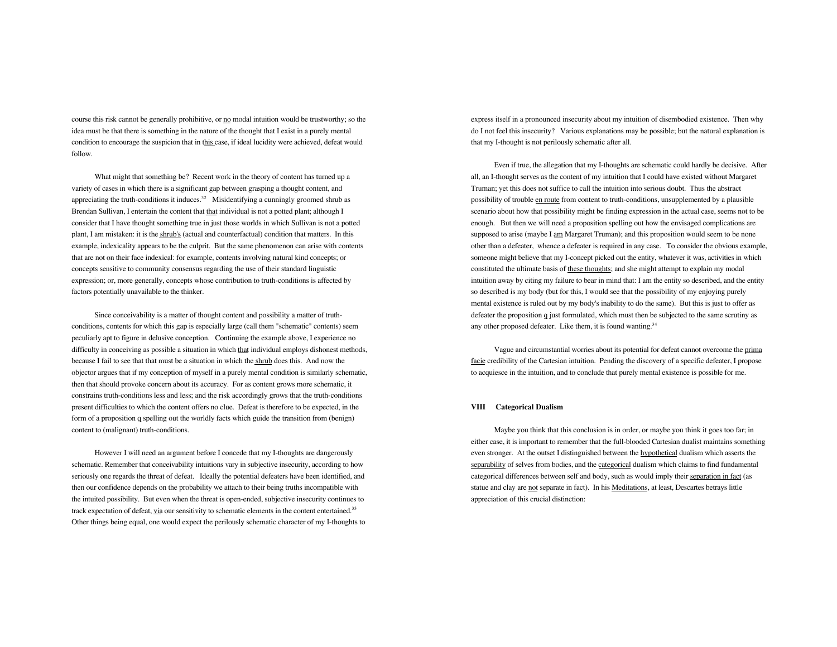course this risk cannot be generally prohibitive, or no modal intuition would be trustworthy; so the idea must be that there is something in the nature of the thought that I exist in a purely mental condition to encourage the suspicion that in this case, if ideal lucidity were achieved, defeat would follow.

What might that something be? Recent work in the theory of content has turned up a variety of cases in which there is a significant gap between grasping a thought content, and appreciating the truth-conditions it induces.<sup>32</sup> Misidentifying a cunningly groomed shrub as Brendan Sullivan, I entertain the content that that individual is not a potted plant; although I consider that I have thought something true in just those worlds in which Sullivan is not a potted plant, I am mistaken: it is the shrub's (actual and counterfactual) condition that matters. In this example, indexicality appears to be the culprit. But the same phenomenon can arise with contents that are not on their face indexical: for example, contents involving natural kind concepts; or concepts sensitive to community consensus regarding the use of their standard linguistic expression; or, more generally, concepts whose contribution to truth-conditions is affected by factors potentially unavailable to the thinker.

Since conceivability is a matter of thought content and possibility a matter of truthconditions, contents for which this gap is especially large (call them "schematic" contents) seem peculiarly apt to figure in delusive conception. Continuing the example above, I experience no difficulty in conceiving as possible a situation in which that individual employs dishonest methods, because I fail to see that that must be a situation in which the shrub does this. And now the objector argues that if my conception of myself in a purely mental condition is similarly schematic, then that should provoke concern about its accuracy. For as content grows more schematic, it constrains truth-conditions less and less; and the risk accordingly grows that the truth-conditions present difficulties to which the content offers no clue. Defeat is therefore to be expected, in the form of a proposition q spelling out the worldly facts which guide the transition from (benign) content to (malignant) truth-conditions.

However I will need an argument before I concede that my I-thoughts are dangerously schematic. Remember that conceivability intuitions vary in subjective insecurity, according to how seriously one regards the threat of defeat. Ideally the potential defeaters have been identified, and then our confidence depends on the probability we attach to their being truths incompatible with the intuited possibility. But even when the threat is open-ended, subjective insecurity continues to track expectation of defeat, via our sensitivity to schematic elements in the content entertained.<sup>33</sup> Other things being equal, one would expect the perilously schematic character of my I-thoughts to

express itself in a pronounced insecurity about my intuition of disembodied existence. Then why do I not feel this insecurity? Various explanations may be possible; but the natural explanation is that my I-thought is not perilously schematic after all.

Even if true, the allegation that my I-thoughts are schematic could hardly be decisive. After all, an I-thought serves as the content of my intuition that I could have existed without Margaret Truman; yet this does not suffice to call the intuition into serious doubt. Thus the abstract possibility of trouble en route from content to truth-conditions, unsupplemented by a plausible scenario about how that possibility might be finding expression in the actual case, seems not to be enough. But then we will need a proposition spelling out how the envisaged complications are supposed to arise (maybe I am Margaret Truman); and this proposition would seem to be none other than a defeater, whence a defeater is required in any case. To consider the obvious example, someone might believe that my I-concept picked out the entity, whatever it was, activities in which constituted the ultimate basis of these thoughts; and she might attempt to explain my modal intuition away by citing my failure to bear in mind that: I am the entity so described, and the entity so described is my body (but for this, I would see that the possibility of my enjoying purely mental existence is ruled out by my body's inability to do the same). But this is just to offer as defeater the proposition q just formulated, which must then be subjected to the same scrutiny as any other proposed defeater. Like them, it is found wanting.<sup>34</sup>

Vague and circumstantial worries about its potential for defeat cannot overcome the prima facie credibility of the Cartesian intuition. Pending the discovery of a specific defeater, I propose to acquiesce in the intuition, and to conclude that purely mental existence is possible for me.

### **VIII Categorical Dualism**

Maybe you think that this conclusion is in order, or maybe you think it goes too far; in either case, it is important to remember that the full-blooded Cartesian dualist maintains something even stronger. At the outset I distinguished between the hypothetical dualism which asserts the separability of selves from bodies, and the categorical dualism which claims to find fundamental categorical differences between self and body, such as would imply their separation in fact (as statue and clay are not separate in fact). In his Meditations, at least, Descartes betrays little appreciation of this crucial distinction: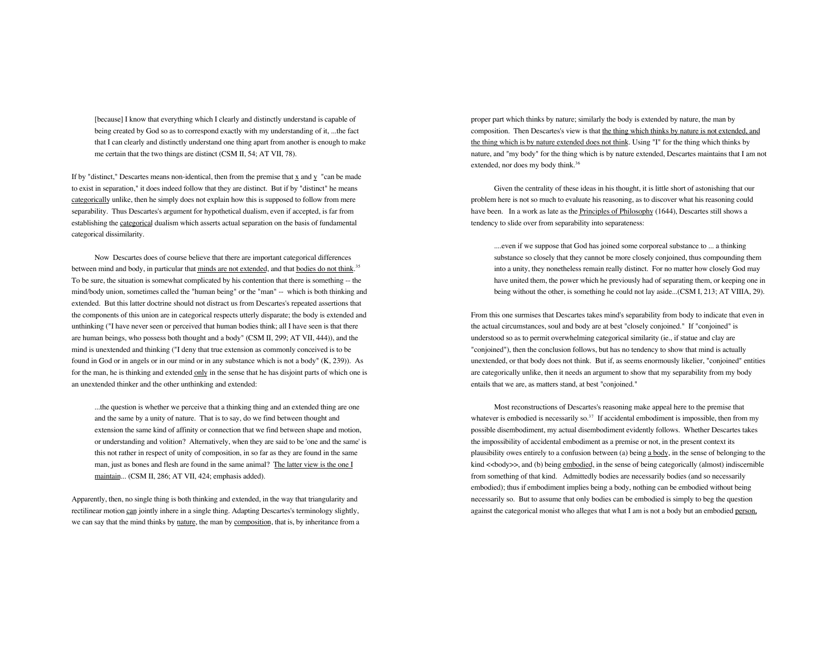[because] I know that everything which I clearly and distinctly understand is capable of being created by God so as to correspond exactly with my understanding of it, ...the fact that I can clearly and distinctly understand one thing apart from another is enough to make me certain that the two things are distinct (CSM II, 54; AT VII, 78).

If by "distinct," Descartes means non-identical, then from the premise that x and y "can be made to exist in separation," it does indeed follow that they are distinct. But if by "distinct" he means categorically unlike, then he simply does not explain how this is supposed to follow from mere separability. Thus Descartes's argument for hypothetical dualism, even if accepted, is far from establishing the categorical dualism which asserts actual separation on the basis of fundamental categorical dissimilarity.

Now Descartes does of course believe that there are important categorical differences between mind and body, in particular that minds are not extended, and that bodies do not think.<sup>35</sup> To be sure, the situation is somewhat complicated by his contention that there is something -- the mind/body union, sometimes called the "human being" or the "man" -- which is both thinking and extended. But this latter doctrine should not distract us from Descartes's repeated assertions that the components of this union are in categorical respects utterly disparate; the body is extended and unthinking ("I have never seen or perceived that human bodies think; all I have seen is that there are human beings, who possess both thought and a body" (CSM II, 299; AT VII, 444)), and the mind is unextended and thinking ("I deny that true extension as commonly conceived is to be found in God or in angels or in our mind or in any substance which is not a body" (K, 239)). As for the man, he is thinking and extended only in the sense that he has disjoint parts of which one is an unextended thinker and the other unthinking and extended:

...the question is whether we perceive that a thinking thing and an extended thing are one and the same by a unity of nature. That is to say, do we find between thought and extension the same kind of affinity or connection that we find between shape and motion, or understanding and volition? Alternatively, when they are said to be 'one and the same' is this not rather in respect of unity of composition, in so far as they are found in the same man, just as bones and flesh are found in the same animal? The latter view is the one I maintain... (CSM II, 286; AT VII, 424; emphasis added).

Apparently, then, no single thing is both thinking and extended, in the way that triangularity and rectilinear motion can jointly inhere in a single thing. Adapting Descartes's terminology slightly, we can say that the mind thinks by nature, the man by composition, that is, by inheritance from a

proper part which thinks by nature; similarly the body is extended by nature, the man by composition. Then Descartes's view is that the thing which thinks by nature is not extended, and the thing which is by nature extended does not think. Using "I" for the thing which thinks by nature, and "my body" for the thing which is by nature extended, Descartes maintains that I am not extended, nor does my body think.<sup>36</sup>

Given the centrality of these ideas in his thought, it is little short of astonishing that our problem here is not so much to evaluate his reasoning, as to discover what his reasoning could have been. In a work as late as the Principles of Philosophy (1644), Descartes still shows a tendency to slide over from separability into separateness:

....even if we suppose that God has joined some corporeal substance to ... a thinking substance so closely that they cannot be more closely conjoined, thus compounding them into a unity, they nonetheless remain really distinct. For no matter how closely God may have united them, the power which he previously had of separating them, or keeping one in being without the other, is something he could not lay aside...(CSM I, 213; AT VIIIA, 29).

From this one surmises that Descartes takes mind's separability from body to indicate that even in the actual circumstances, soul and body are at best "closely conjoined." If "conjoined" is understood so as to permit overwhelming categorical similarity (ie., if statue and clay are "conjoined"), then the conclusion follows, but has no tendency to show that mind is actually unextended, or that body does not think. But if, as seems enormously likelier, "conjoined" entities are categorically unlike, then it needs an argument to show that my separability from my body entails that we are, as matters stand, at best "conjoined."

Most reconstructions of Descartes's reasoning make appeal here to the premise that whatever is embodied is necessarily so. $37$  If accidental embodiment is impossible, then from my possible disembodiment, my actual disembodiment evidently follows. Whether Descartes takes the impossibility of accidental embodiment as a premise or not, in the present context its plausibility owes entirely to a confusion between (a) being a body, in the sense of belonging to the kind <<br/>body>>, and (b) being embodied, in the sense of being categorically (almost) indiscernible from something of that kind. Admittedly bodies are necessarily bodies (and so necessarily embodied); thus if embodiment implies being a body, nothing can be embodied without being necessarily so. But to assume that only bodies can be embodied is simply to beg the question against the categorical monist who alleges that what I am is not a body but an embodied person,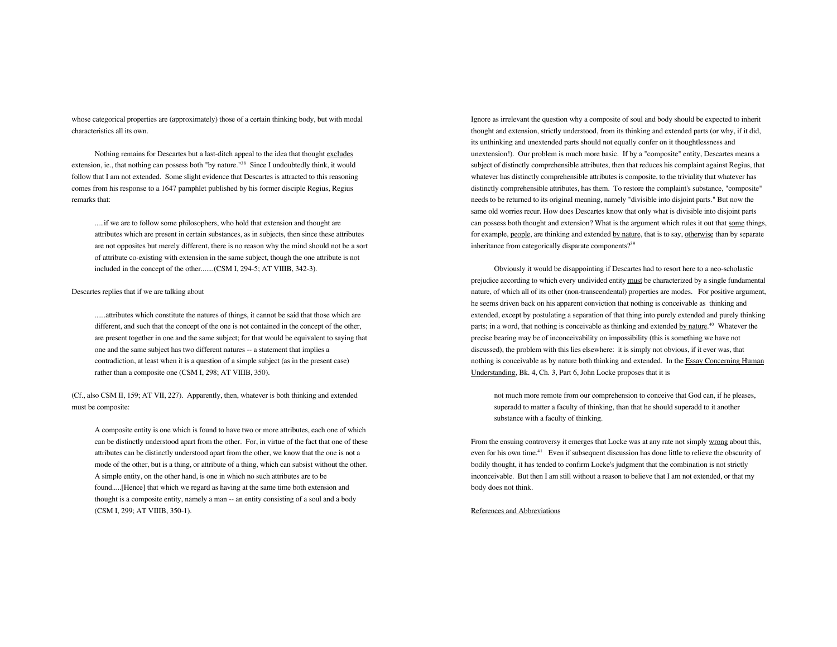whose categorical properties are (approximately) those of a certain thinking body, but with modal characteristics all its own.

Nothing remains for Descartes but a last-ditch appeal to the idea that thought excludes extension, ie., that nothing can possess both "by nature."<sup>38</sup> Since I undoubtedly think, it would follow that I am not extended. Some slight evidence that Descartes is attracted to this reasoning comes from his response to a 1647 pamphlet published by his former disciple Regius, Regius remarks that:

.....if we are to follow some philosophers, who hold that extension and thought are attributes which are present in certain substances, as in subjects, then since these attributes are not opposites but merely different, there is no reason why the mind should not be a sort of attribute co-existing with extension in the same subject, though the one attribute is not included in the concept of the other.......(CSM I, 294-5; AT VIIIB, 342-3).

#### Descartes replies that if we are talking about

......attributes which constitute the natures of things, it cannot be said that those which are different, and such that the concept of the one is not contained in the concept of the other, are present together in one and the same subject; for that would be equivalent to saying that one and the same subject has two different natures -- a statement that implies a contradiction, at least when it is a question of a simple subject (as in the present case) rather than a composite one (CSM I, 298; AT VIIIB, 350).

(Cf., also CSM II, 159; AT VII, 227). Apparently, then, whatever is both thinking and extended must be composite:

A composite entity is one which is found to have two or more attributes, each one of which can be distinctly understood apart from the other. For, in virtue of the fact that one of these attributes can be distinctly understood apart from the other, we know that the one is not a mode of the other, but is a thing, or attribute of a thing, which can subsist without the other. A simple entity, on the other hand, is one in which no such attributes are to be found.....[Hence] that which we regard as having at the same time both extension and thought is a composite entity, namely a man -- an entity consisting of a soul and a body (CSM I, 299; AT VIIIB, 350-1).

Ignore as irrelevant the question why a composite of soul and body should be expected to inherit thought and extension, strictly understood, from its thinking and extended parts (or why, if it did, its unthinking and unextended parts should not equally confer on it thoughtlessness and unextension!). Our problem is much more basic. If by a "composite" entity, Descartes means a subject of distinctly comprehensible attributes, then that reduces his complaint against Regius, that whatever has distinctly comprehensible attributes is composite, to the triviality that whatever has distinctly comprehensible attributes, has them. To restore the complaint's substance, "composite" needs to be returned to its original meaning, namely "divisible into disjoint parts." But now the same old worries recur. How does Descartes know that only what is divisible into disjoint parts can possess both thought and extension? What is the argument which rules it out that some things, for example, people, are thinking and extended by nature, that is to say, otherwise than by separate inheritance from categorically disparate components?<sup>39</sup>

Obviously it would be disappointing if Descartes had to resort here to a neo-scholastic prejudice according to which every undivided entity must be characterized by a single fundamental nature, of which all of its other (non-transcendental) properties are modes. For positive argument, he seems driven back on his apparent conviction that nothing is conceivable as thinking and extended, except by postulating a separation of that thing into purely extended and purely thinking parts; in a word, that nothing is conceivable as thinking and extended by nature.<sup>40</sup> Whatever the precise bearing may be of inconceivability on impossibility (this is something we have not discussed), the problem with this lies elsewhere: it is simply not obvious, if it ever was, that nothing is conceivable as by nature both thinking and extended. In the Essay Concerning Human Understanding, Bk. 4, Ch. 3, Part 6, John Locke proposes that it is

not much more remote from our comprehension to conceive that God can, if he pleases, superadd to matter a faculty of thinking, than that he should superadd to it another substance with a faculty of thinking.

From the ensuing controversy it emerges that Locke was at any rate not simply wrong about this, even for his own time.<sup>41</sup> Even if subsequent discussion has done little to relieve the obscurity of bodily thought, it has tended to confirm Locke's judgment that the combination is not strictly inconceivable. But then I am still without a reason to believe that I am not extended, or that my body does not think.

#### References and Abbreviations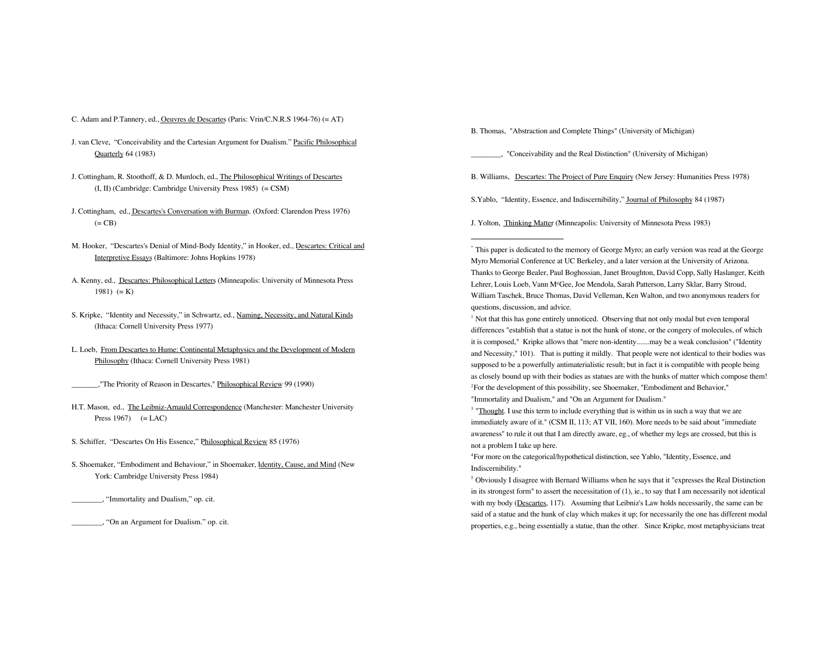C. Adam and P.Tannery, ed., Oeuvres de Descartes (Paris: Vrin/C.N.R.S 1964-76) (= AT)

- J. van Cleve, "Conceivability and the Cartesian Argument for Dualism." Pacific Philosophical Quarterly 64 (1983)
- J. Cottingham, R. Stoothoff, & D. Murdoch, ed., The Philosophical Writings of Descartes (I, II) (Cambridge: Cambridge University Press 1985) (= CSM)
- J. Cottingham, ed., Descartes's Conversation with Burman. (Oxford: Clarendon Press 1976)  $(= CB)$
- M. Hooker, "Descartes's Denial of Mind-Body Identity," in Hooker, ed., Descartes: Critical and Interpretive Essays (Baltimore: Johns Hopkins 1978)
- A. Kenny, ed., Descartes: Philosophical Letters (Minneapolis: University of Minnesota Press 1981)  $(= K)$
- S. Kripke, "Identity and Necessity," in Schwartz, ed., Naming, Necessity, and Natural Kinds (Ithaca: Cornell University Press 1977)
- L. Loeb, From Descartes to Hume: Continental Metaphysics and the Development of Modern Philosophy (Ithaca: Cornell University Press 1981)
- \_\_\_\_\_\_\_,"The Priority of Reason in Descartes," Philosophical Review 99 (1990)
- H.T. Mason, ed., The Leibniz-Arnauld Correspondence (Manchester: Manchester University Press  $1967$  (= LAC)
- S. Schiffer, "Descartes On His Essence," Philosophical Review 85 (1976)
- S. Shoemaker, "Embodiment and Behaviour," in Shoemaker, Identity, Cause, and Mind (New York: Cambridge University Press 1984)
- \_\_\_\_\_\_\_\_, "Immortality and Dualism," op. cit.
- \_\_\_\_\_\_\_\_, "On an Argument for Dualism." op. cit.

B. Thomas, "Abstraction and Complete Things" (University of Michigan)

\_\_\_\_\_\_\_\_, "Conceivability and the Real Distinction" (University of Michigan)

B. Williams, Descartes: The Project of Pure Enquiry (New Jersey: Humanities Press 1978)

S.Yablo, "Identity, Essence, and Indiscernibility," Journal of Philosophy 84 (1987)

J. Yolton, Thinking Matter (Minneapolis: University of Minnesota Press 1983)

1

\* This paper is dedicated to the memory of George Myro; an early version was read at the George Myro Memorial Conference at UC Berkeley, and a later version at the University of Arizona. Thanks to George Bealer, Paul Boghossian, Janet Broughton, David Copp, Sally Haslanger, Keith Lehrer, Louis Loeb, Vann McGee, Joe Mendola, Sarah Patterson, Larry Sklar, Barry Stroud, William Taschek, Bruce Thomas, David Velleman, Ken Walton, and two anonymous readers for questions, discussion, and advice.

<sup>1</sup> Not that this has gone entirely unnoticed. Observing that not only modal but even temporal differences "establish that a statue is not the hunk of stone, or the congery of molecules, of which it is composed," Kripke allows that "mere non-identity.......may be a weak conclusion" ("Identity and Necessity," 101). That is putting it mildly. That people were not identical to their bodies was supposed to be a powerfully antimaterialistic result; but in fact it is compatible with people being as closely bound up with their bodies as statues are with the hunks of matter which compose them! <sup>2</sup>For the development of this possibility, see Shoemaker, "Embodiment and Behavior," "Immortality and Dualism," and "On an Argument for Dualism."

<sup>3</sup> "Thought. I use this term to include everything that is within us in such a way that we are immediately aware of it." (CSM II, 113; AT VII, 160). More needs to be said about "immediate awareness" to rule it out that I am directly aware, eg., of whether my legs are crossed, but this is not a problem I take up here.

4 For more on the categorical/hypothetical distinction, see Yablo, "Identity, Essence, and Indiscernibility."

<sup>5</sup> Obviously I disagree with Bernard Williams when he says that it "expresses the Real Distinction in its strongest form" to assert the necessitation of  $(1)$ , ie., to say that I am necessarily not identical with my body (Descartes, 117). Assuming that Leibniz's Law holds necessarily, the same can be said of a statue and the hunk of clay which makes it up; for necessarily the one has different modal properties, e.g., being essentially a statue, than the other. Since Kripke, most metaphysicians treat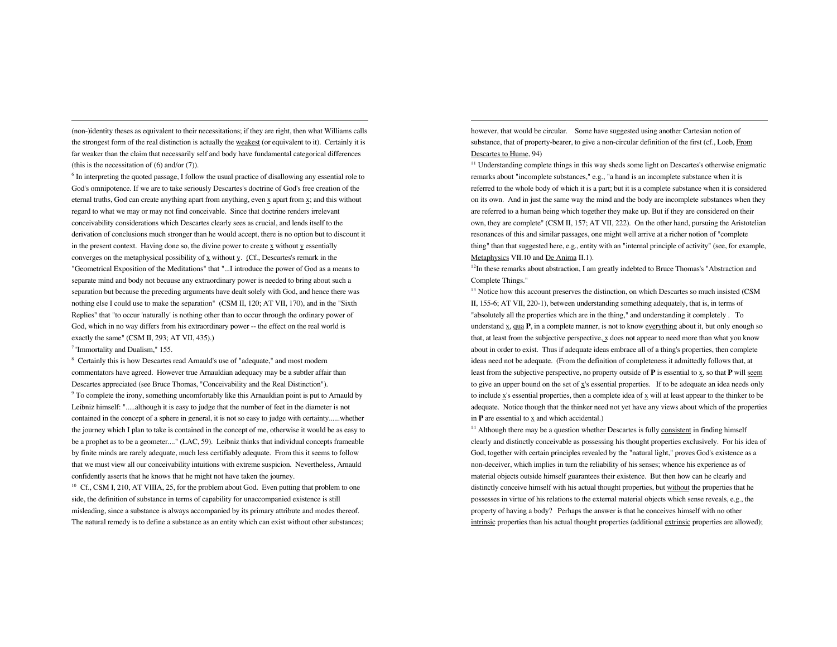(non-)identity theses as equivalent to their necessitations; if they are right, then what Williams calls the strongest form of the real distinction is actually the weakest (or equivalent to it). Certainly it is far weaker than the claim that necessarily self and body have fundamental categorical differences (this is the necessitation of (6) and/or (7)).

<sup>6</sup> In interpreting the quoted passage, I follow the usual practice of disallowing any essential role to God's omnipotence. If we are to take seriously Descartes's doctrine of God's free creation of the eternal truths, God can create anything apart from anything, even x apart from x; and this without regard to what we may or may not find conceivable. Since that doctrine renders irrelevant conceivability considerations which Descartes clearly sees as crucial, and lends itself to the derivation of conclusions much stronger than he would accept, there is no option but to discount it in the present context. Having done so, the divine power to create x without y essentially converges on the metaphysical possibility of x without y. (Cf., Descartes's remark in the "Geometrical Exposition of the Meditations" that "...I introduce the power of God as a means to separate mind and body not because any extraordinary power is needed to bring about such a separation but because the preceding arguments have dealt solely with God, and hence there was nothing else I could use to make the separation" (CSM II, 120; AT VII, 170), and in the "Sixth Replies" that "to occur 'naturally' is nothing other than to occur through the ordinary power of God, which in no way differs from his extraordinary power -- the effect on the real world is exactly the same" (CSM II, 293; AT VII, 435).)

7 "Immortality and Dualism," 155.

 $\overline{a}$ 

<sup>8</sup> Certainly this is how Descartes read Arnauld's use of "adequate," and most modern commentators have agreed. However true Arnauldian adequacy may be a subtler affair than Descartes appreciated (see Bruce Thomas, "Conceivability and the Real Distinction").

<sup>9</sup> To complete the irony, something uncomfortably like this Arnauldian point is put to Arnauld by Leibniz himself: ".....although it is easy to judge that the number of feet in the diameter is not contained in the concept of a sphere in general, it is not so easy to judge with certainty......whether the journey which I plan to take is contained in the concept of me, otherwise it would be as easy to be a prophet as to be a geometer...." (LAC, 59). Leibniz thinks that individual concepts frameable by finite minds are rarely adequate, much less certifiably adequate. From this it seems to follow that we must view all our conceivability intuitions with extreme suspicion. Nevertheless, Arnauld confidently asserts that he knows that he might not have taken the journey.

<sup>10</sup> Cf., CSM I, 210, AT VIIIA, 25, for the problem about God. Even putting that problem to one side, the definition of substance in terms of capability for unaccompanied existence is still misleading, since a substance is always accompanied by its primary attribute and modes thereof. The natural remedy is to define a substance as an entity which can exist without other substances; however, that would be circular. Some have suggested using another Cartesian notion of substance, that of property-bearer, to give a non-circular definition of the first (cf., Loeb, From Descartes to Hume, 94)

 $\overline{a}$ 

<sup>11</sup> Understanding complete things in this way sheds some light on Descartes's otherwise enigmatic remarks about "incomplete substances," e.g., "a hand is an incomplete substance when it is referred to the whole body of which it is a part; but it is a complete substance when it is considered on its own. And in just the same way the mind and the body are incomplete substances when they are referred to a human being which together they make up. But if they are considered on their own, they are complete" (CSM II, 157; AT VII, 222). On the other hand, pursuing the Aristotelian resonances of this and similar passages, one might well arrive at a richer notion of "complete thing" than that suggested here, e.g., entity with an "internal principle of activity" (see, for example, Metaphysics VII.10 and De Anima II.1).

<sup>12</sup>In these remarks about abstraction, I am greatly indebted to Bruce Thomas's "Abstraction and Complete Things."

<sup>13</sup> Notice how this account preserves the distinction, on which Descartes so much insisted (CSM II, 155-6; AT VII, 220-1), between understanding something adequately, that is, in terms of "absolutely all the properties which are in the thing," and understanding it completely . To understand x, qua **P**, in a complete manner, is not to know everything about it, but only enough so that, at least from the subjective perspective,  $\bar{x}$  does not appear to need more than what you know about in order to exist. Thus if adequate ideas embrace all of a thing's properties, then complete ideas need not be adequate. (From the definition of completeness it admittedly follows that, at least from the subjective perspective, no property outside of **P** is essential to x, so that **P** will seem to give an upper bound on the set of x's essential properties. If to be adequate an idea needs only to include x's essential properties, then a complete idea of x will at least appear to the thinker to be adequate. Notice though that the thinker need not yet have any views about which of the properties in  $P$  are essential to  $\underline{x}$  and which accidental.)

<sup>14</sup> Although there may be a question whether Descartes is fully consistent in finding himself clearly and distinctly conceivable as possessing his thought properties exclusively. For his idea of God, together with certain principles revealed by the "natural light," proves God's existence as a non-deceiver, which implies in turn the reliability of his senses; whence his experience as of material objects outside himself guarantees their existence. But then how can he clearly and distinctly conceive himself with his actual thought properties, but without the properties that he possesses in virtue of his relations to the external material objects which sense reveals, e.g., the property of having a body? Perhaps the answer is that he conceives himself with no other intrinsic properties than his actual thought properties (additional extrinsic properties are allowed);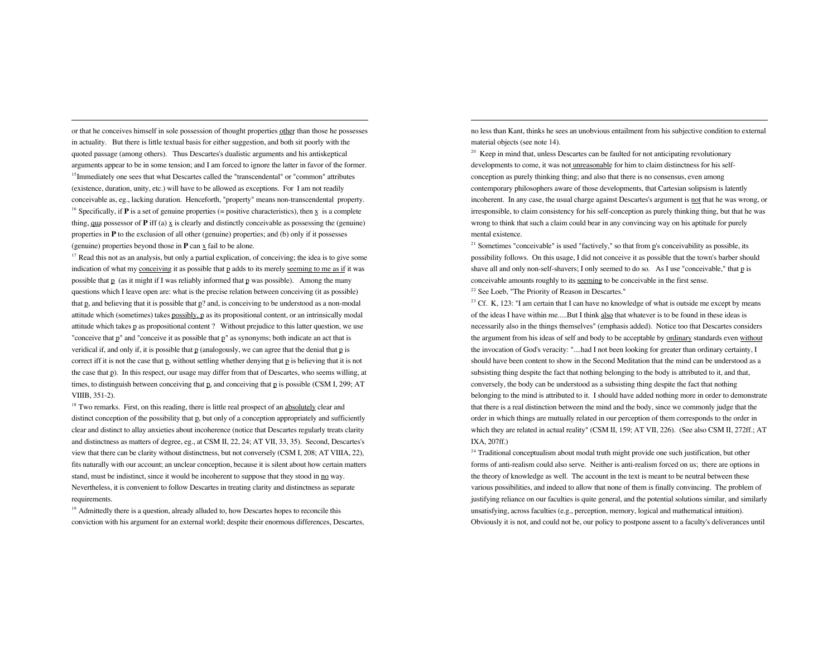or that he conceives himself in sole possession of thought properties other than those he possesses in actuality. But there is little textual basis for either suggestion, and both sit poorly with the quoted passage (among others). Thus Descartes's dualistic arguments and his antiskeptical arguments appear to be in some tension; and I am forced to ignore the latter in favor of the former. <sup>15</sup> Immediately one sees that what Descartes called the "transcendental" or "common" attributes (existence, duration, unity, etc.) will have to be allowed as exceptions. For I am not readily conceivable as, eg., lacking duration. Henceforth, "property" means non-transcendental property. <sup>16</sup> Specifically, if **P** is a set of genuine properties (= positive characteristics), then  $\overline{x}$  is a complete thing, qua possessor of  $P$  iff (a)  $\bar{x}$  is clearly and distinctly conceivable as possessing the (genuine) properties in **P** to the exclusion of all other (genuine) properties; and (b) only if it possesses (genuine) properties beyond those in **P** can x fail to be alone.

 $\overline{a}$ 

<sup>17</sup> Read this not as an analysis, but only a partial explication, of conceiving; the idea is to give some indication of what my conceiving it as possible that p adds to its merely seeming to me as if it was possible that p (as it might if I was reliably informed that p was possible). Among the many questions which I leave open are: what is the precise relation between conceiving (it as possible) that p, and believing that it is possible that p? and, is conceiving to be understood as a non-modal attitude which (sometimes) takes possibly, p as its propositional content, or an intrinsically modal attitude which takes p as propositional content ? Without prejudice to this latter question, we use "conceive that p" and "conceive it as possible that p" as synonyms; both indicate an act that is veridical if, and only if, it is possible that p (analogously, we can agree that the denial that p is correct iff it is not the case that p, without settling whether denying that p is believing that it is not the case that p). In this respect, our usage may differ from that of Descartes, who seems willing, at times, to distinguish between conceiving that p, and conceiving that p is possible (CSM I, 299; AT VIIIB, 351-2).

<sup>18</sup> Two remarks. First, on this reading, there is little real prospect of an absolutely clear and distinct conception of the possibility that p, but only of a conception appropriately and sufficiently clear and distinct to allay anxieties about incoherence (notice that Descartes regularly treats clarity and distinctness as matters of degree, eg., at CSM II, 22, 24; AT VII, 33, 35). Second, Descartes's view that there can be clarity without distinctness, but not conversely (CSM I, 208; AT VIIIA, 22), fits naturally with our account; an unclear conception, because it is silent about how certain matters stand, must be indistinct, since it would be incoherent to suppose that they stood in no way. Nevertheless, it is convenient to follow Descartes in treating clarity and distinctness as separate requirements.

<sup>19</sup> Admittedly there is a question, already alluded to, how Descartes hopes to reconcile this conviction with his argument for an external world; despite their enormous differences, Descartes, no less than Kant, thinks he sees an unobvious entailment from his subjective condition to external material objects (see note 14).

 $\overline{a}$ 

<sup>20</sup> Keep in mind that, unless Descartes can be faulted for not anticipating revolutionary developments to come, it was not *unreasonable* for him to claim distinctness for his selfconception as purely thinking thing; and also that there is no consensus, even among contemporary philosophers aware of those developments, that Cartesian solipsism is latently incoherent. In any case, the usual charge against Descartes's argument is not that he was wrong, or irresponsible, to claim consistency for his self-conception as purely thinking thing, but that he was wrong to think that such a claim could bear in any convincing way on his aptitude for purely mental existence.

<sup>21</sup> Sometimes "conceivable" is used "factively," so that from p's conceivability as possible, its possibility follows. On this usage, I did not conceive it as possible that the town's barber should shave all and only non-self-shavers; I only seemed to do so. As I use "conceivable," that p is conceivable amounts roughly to its seeming to be conceivable in the first sense. <sup>22</sup> See Loeb, "The Priority of Reason in Descartes."

 $2<sup>3</sup>$  Cf. K, 123: "I am certain that I can have no knowledge of what is outside me except by means of the ideas I have within me.....But I think also that whatever is to be found in these ideas is necessarily also in the things themselves" (emphasis added). Notice too that Descartes considers the argument from his ideas of self and body to be acceptable by ordinary standards even without the invocation of God's veracity: "....had I not been looking for greater than ordinary certainty, I should have been content to show in the Second Meditation that the mind can be understood as a subsisting thing despite the fact that nothing belonging to the body is attributed to it, and that, conversely, the body can be understood as a subsisting thing despite the fact that nothing belonging to the mind is attributed to it. I should have added nothing more in order to demonstrate that there is a real distinction between the mind and the body, since we commonly judge that the order in which things are mutually related in our perception of them corresponds to the order in which they are related in actual reality" (CSM II, 159; AT VII, 226). (See also CSM II, 272ff.; AT IXA, 207ff.)

<sup>24</sup> Traditional conceptualism about modal truth might provide one such justification, but other forms of anti-realism could also serve. Neither is anti-realism forced on us; there are options in the theory of knowledge as well. The account in the text is meant to be neutral between these various possibilities, and indeed to allow that none of them is finally convincing. The problem of justifying reliance on our faculties is quite general, and the potential solutions similar, and similarly unsatisfying, across faculties (e.g., perception, memory, logical and mathematical intuition). Obviously it is not, and could not be, our policy to postpone assent to a faculty's deliverances until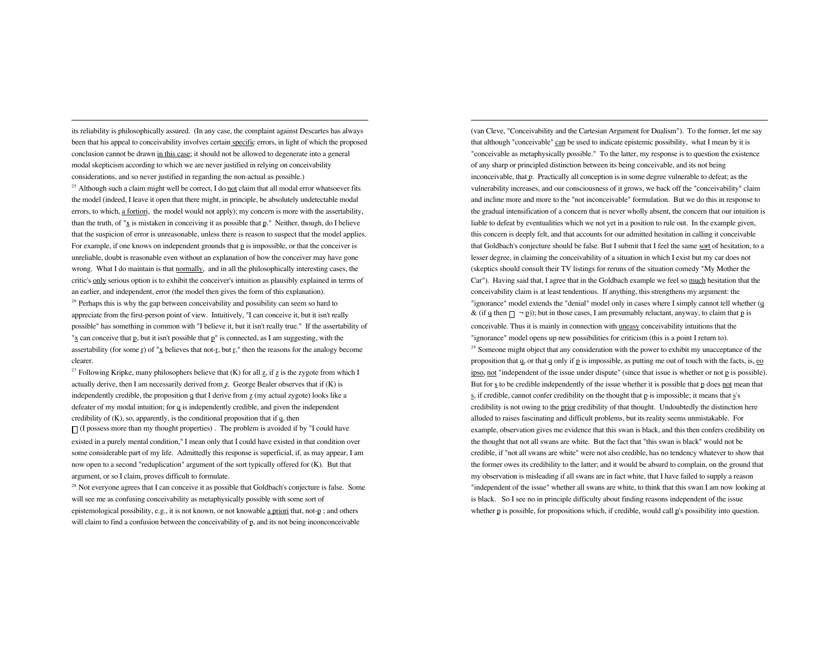its reliability is philosophically assured. (In any case, the complaint against Descartes has always been that his appeal to conceivability involves certain specific errors, in light of which the proposed conclusion cannot be drawn in this case; it should not be allowed to degenerate into a general modal skepticism according to which we are never justified in relying on conceivability considerations, and so never justified in regarding the non-actual as possible.)

 $\overline{a}$ 

<sup>25</sup> Although such a claim might well be correct, I do not claim that all modal error whatsoever fits the model (indeed, I leave it open that there might, in principle, be absolutely undetectable modal errors, to which, a fortiori, the model would not apply); my concern is more with the assertability, than the truth, of "x is mistaken in conceiving it as possible that p." Neither, though, do I believe that the suspicion of error is unreasonable, unless there is reason to suspect that the model applies. For example, if one knows on independent grounds that p is impossible, or that the conceiver is unreliable, doubt is reasonable even without an explanation of how the conceiver may have gone wrong. What I do maintain is that normally, and in all the philosophically interesting cases, the critic's only serious option is to exhibit the conceiver's intuition as plausibly explained in terms of an earlier, and independent, error (the model then gives the form of this explanation).

<sup>26</sup> Perhaps this is why the gap between conceivability and possibility can seem so hard to appreciate from the first-person point of view. Intuitively, "I can conceive it, but it isn't really possible" has something in common with "I believe it, but it isn't really true." If the assertability of " $x$  can conceive that p, but it isn't possible that  $p$ " is connected, as I am suggesting, with the assertability (for some r) of "x believes that not-r, but r," then the reasons for the analogy become clearer.

<sup>27</sup> Following Kripke, many philosophers believe that (K) for all  $z$ , if  $\overline{z}$  is the zygote from which I actually derive, then I am necessarily derived from z. George Bealer observes that if (K) is independently credible, the proposition q that I derive from z (my actual zygote) looks like a defeater of my modal intuition; for q is independently credible, and given the independent credibility of (K), so, apparently, is the conditional proposition that if q, then  $\prod$  (I possess more than my thought properties). The problem is avoided if by "I could have

existed in a purely mental condition," I mean only that I could have existed in that condition over some considerable part of my life. Admittedly this response is superficial, if, as may appear, I am now open to a second "reduplication" argument of the sort typically offered for (K). But that argument, or so I claim, proves difficult to formulate.

<sup>28</sup> Not everyone agrees that I can conceive it as possible that Goldbach's conjecture is false. Some will see me as confusing conceivability as metaphysically possible with some sort of epistemological possibility, e.g., it is not known, or not knowable a priori that, not-p ; and others will claim to find a confusion between the conceivability of p, and its not being inconconceivable

(van Cleve, "Conceivability and the Cartesian Argument for Dualism"). To the former, let me say that although "conceivable" can be used to indicate epistemic possibility, what I mean by it is "conceivable as metaphysically possible." To the latter, my response is to question the existence of any sharp or principled distinction between its being conceivable, and its not being inconceivable, that p. Practically all conception is in some degree vulnerable to defeat; as the vulnerability increases, and our consciousness of it grows, we back off the "conceivability" claim and incline more and more to the "not inconceivable" formulation. But we do this in response to the gradual intensification of a concern that is never wholly absent, the concern that our intuition is liable to defeat by eventualities which we not yet in a position to rule out. In the example given, this concern is deeply felt, and that accounts for our admitted hesitation in calling it conceivable that Goldbach's conjecture should be false. But I submit that I feel the same sort of hesitation, to a lesser degree, in claiming the conceivability of a situation in which I exist but my car does not (skeptics should consult their TV listings for reruns of the situation comedy "My Mother the Car"). Having said that, I agree that in the Goldbach example we feel so much hesitation that the conceivability claim is at least tendentious. If anything, this strengthens my argument: the "ignorance" model extends the "denial" model only in cases where I simply cannot tell whether (q & (if q then  $\Box \neg p$ )); but in those cases, I am presumably reluctant, anyway, to claim that p is conceivable. Thus it is mainly in connection with uneasy conceivability intuitions that the "ignorance" model opens up new possibilities for criticism (this is a point I return to). <sup>29</sup> Someone might object that any consideration with the power to exhibit my unacceptance of the proposition that  $q$ , or that  $q$  only if  $p$  is impossible, as putting me out of touch with the facts, is,  $q$ ipso, not "independent of the issue under dispute" (since that issue is whether or not p is possible). But for s to be credible independently of the issue whether it is possible that p does not mean that s, if credible, cannot confer credibility on the thought that p is impossible; it means that s's credibility is not owing to the prior credibility of that thought. Undoubtedly the distinction here alluded to raises fascinating and difficult problems, but its reality seems unmistakable. For example, observation gives me evidence that this swan is black, and this then confers credibility on the thought that not all swans are white. But the fact that "this swan is black" would not be credible, if "not all swans are white" were not also credible, has no tendency whatever to show that the former owes its credibility to the latter; and it would be absurd to complain, on the ground that my observation is misleading if all swans are in fact white, that I have failed to supply a reason "independent of the issue" whether all swans are white, to think that this swan I am now looking at is black. So I see no in principle difficulty about finding reasons independent of the issue whether p is possible, for propositions which, if credible, would call p's possibility into question.

 $\overline{a}$